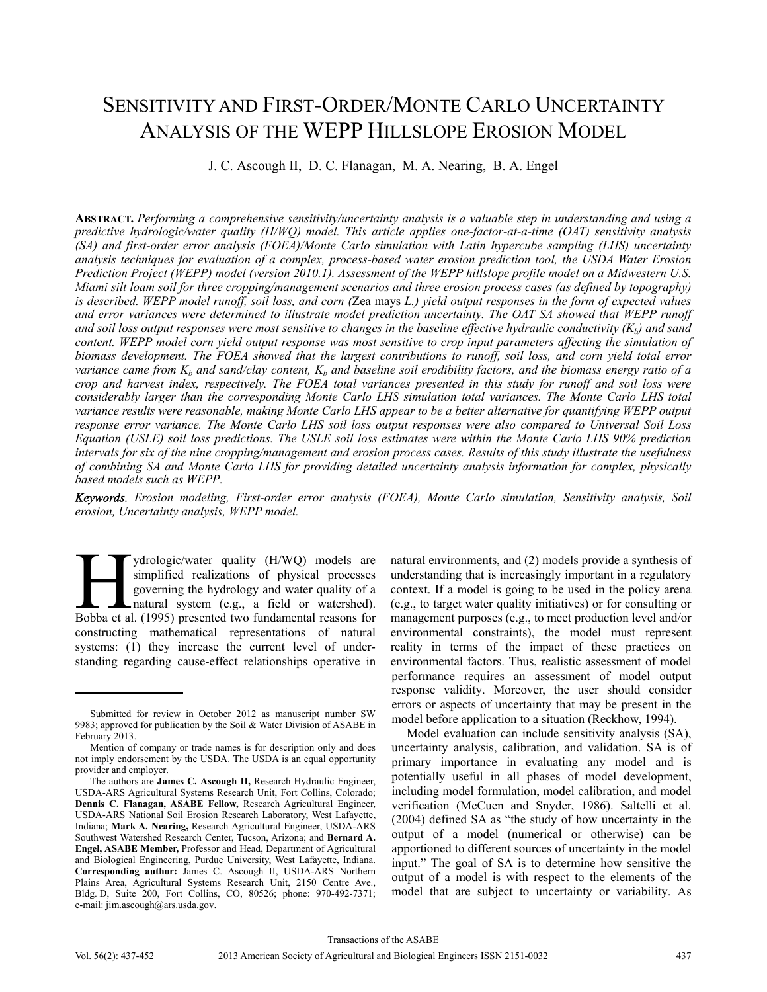# SENSITIVITY AND FIRST-ORDER/MONTE CARLO UNCERTAINTY ANALYSIS OF THE WEPP HILLSLOPE EROSION MODEL

J. C. Ascough II, D. C. Flanagan, M. A. Nearing, B. A. Engel

**ABSTRACT.** *Performing a comprehensive sensitivity/uncertainty analysis is a valuable step in understanding and using a predictive hydrologic/water quality (H/WQ) model. This article applies one-factor-at-a-time (OAT) sensitivity analysis (SA) and first-order error analysis (FOEA)/Monte Carlo simulation with Latin hypercube sampling (LHS) uncertainty analysis techniques for evaluation of a complex, process-based water erosion prediction tool, the USDA Water Erosion Prediction Project (WEPP) model (version 2010.1). Assessment of the WEPP hillslope profile model on a Midwestern U.S. Miami silt loam soil for three cropping/management scenarios and three erosion process cases (as defined by topography) is described. WEPP model runoff, soil loss, and corn (*Zea mays *L.) yield output responses in the form of expected values and error variances were determined to illustrate model prediction uncertainty. The OAT SA showed that WEPP runoff*  and soil loss output responses were most sensitive to changes in the baseline effective hydraulic conductivity  $(K_b)$  and sand *content. WEPP model corn yield output response was most sensitive to crop input parameters affecting the simulation of biomass development. The FOEA showed that the largest contributions to runoff, soil loss, and corn yield total error variance came from*  $K_b$  *and sand/clay content,*  $K_b$  and baseline soil erodibility factors, and the biomass energy ratio of a *crop and harvest index, respectively. The FOEA total variances presented in this study for runoff and soil loss were considerably larger than the corresponding Monte Carlo LHS simulation total variances. The Monte Carlo LHS total variance results were reasonable, making Monte Carlo LHS appear to be a better alternative for quantifying WEPP output response error variance. The Monte Carlo LHS soil loss output responses were also compared to Universal Soil Loss Equation (USLE) soil loss predictions. The USLE soil loss estimates were within the Monte Carlo LHS 90% prediction intervals for six of the nine cropping/management and erosion process cases. Results of this study illustrate the usefulness of combining SA and Monte Carlo LHS for providing detailed uncertainty analysis information for complex, physically based models such as WEPP.* 

*Keywords. Erosion modeling, First-order error analysis (FOEA), Monte Carlo simulation, Sensitivity analysis, Soil erosion, Uncertainty analysis, WEPP model.* 

ydrologic/water quality (H/WQ) models are simplified realizations of physical processes governing the hydrology and water quality of a natural system (e.g., a field or watershed). ydrologic/water quality (H/WQ) models are<br>simplified realizations of physical processes<br>governing the hydrology and water quality of a<br>natural system (e.g., a field or watershed).<br>Bobba et al. (1995) presented two fundamen constructing mathematical representations of natural systems: (1) they increase the current level of understanding regarding cause-effect relationships operative in

natural environments, and (2) models provide a synthesis of understanding that is increasingly important in a regulatory context. If a model is going to be used in the policy arena (e.g., to target water quality initiatives) or for consulting or management purposes (e.g., to meet production level and/or environmental constraints), the model must represent reality in terms of the impact of these practices on environmental factors. Thus, realistic assessment of model performance requires an assessment of model output response validity. Moreover, the user should consider errors or aspects of uncertainty that may be present in the model before application to a situation (Reckhow, 1994).

Model evaluation can include sensitivity analysis (SA), uncertainty analysis, calibration, and validation. SA is of primary importance in evaluating any model and is potentially useful in all phases of model development, including model formulation, model calibration, and model verification (McCuen and Snyder, 1986). Saltelli et al. (2004) defined SA as "the study of how uncertainty in the output of a model (numerical or otherwise) can be apportioned to different sources of uncertainty in the model input." The goal of SA is to determine how sensitive the output of a model is with respect to the elements of the model that are subject to uncertainty or variability. As

Submitted for review in October 2012 as manuscript number SW 9983; approved for publication by the Soil & Water Division of ASABE in February 2013.

Mention of company or trade names is for description only and does not imply endorsement by the USDA. The USDA is an equal opportunity provider and employer.

The authors are **James C. Ascough II,** Research Hydraulic Engineer, USDA-ARS Agricultural Systems Research Unit, Fort Collins, Colorado; **Dennis C. Flanagan, ASABE Fellow,** Research Agricultural Engineer, USDA-ARS National Soil Erosion Research Laboratory, West Lafayette, Indiana; **Mark A. Nearing,** Research Agricultural Engineer, USDA-ARS Southwest Watershed Research Center, Tucson, Arizona; and **Bernard A. Engel, ASABE Member,** Professor and Head, Department of Agricultural and Biological Engineering, Purdue University, West Lafayette, Indiana. **Corresponding author:** James C. Ascough II, USDA-ARS Northern Plains Area, Agricultural Systems Research Unit, 2150 Centre Ave., Bldg. D, Suite 200, Fort Collins, CO, 80526; phone: 970-492-7371; e-mail: jim.ascough@ars.usda.gov.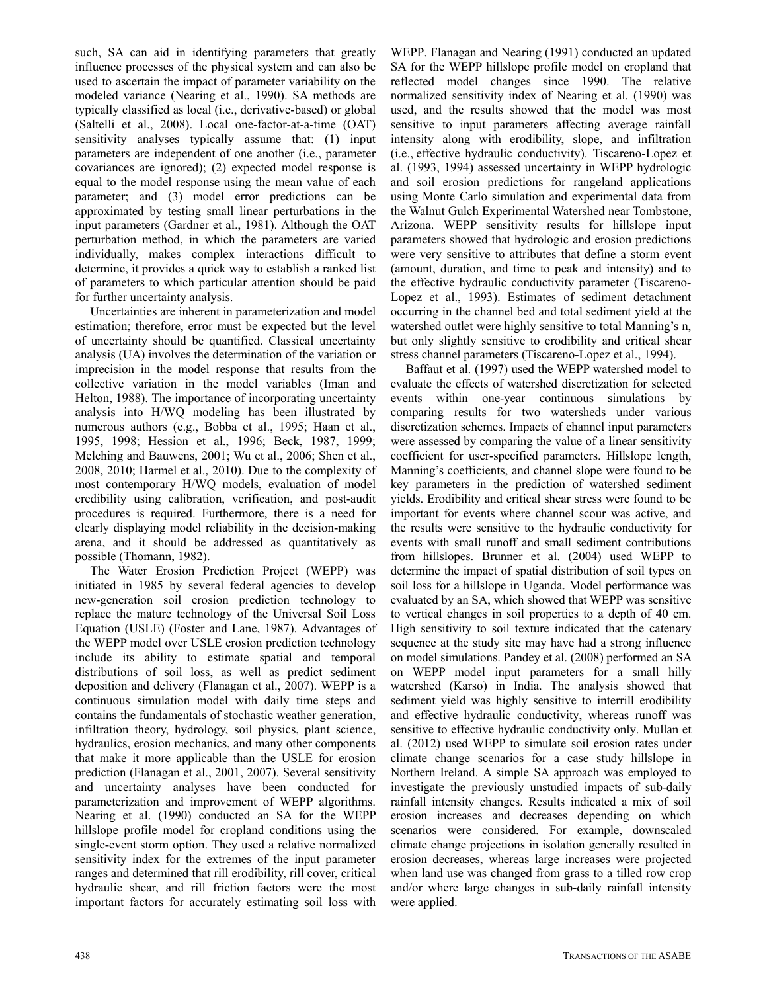such, SA can aid in identifying parameters that greatly influence processes of the physical system and can also be used to ascertain the impact of parameter variability on the modeled variance (Nearing et al., 1990). SA methods are typically classified as local (i.e., derivative-based) or global (Saltelli et al., 2008). Local one-factor-at-a-time (OAT) sensitivity analyses typically assume that: (1) input parameters are independent of one another (i.e., parameter covariances are ignored); (2) expected model response is equal to the model response using the mean value of each parameter; and (3) model error predictions can be approximated by testing small linear perturbations in the input parameters (Gardner et al., 1981). Although the OAT perturbation method, in which the parameters are varied individually, makes complex interactions difficult to determine, it provides a quick way to establish a ranked list of parameters to which particular attention should be paid for further uncertainty analysis.

Uncertainties are inherent in parameterization and model estimation; therefore, error must be expected but the level of uncertainty should be quantified. Classical uncertainty analysis (UA) involves the determination of the variation or imprecision in the model response that results from the collective variation in the model variables (Iman and Helton, 1988). The importance of incorporating uncertainty analysis into H/WQ modeling has been illustrated by numerous authors (e.g., Bobba et al., 1995; Haan et al., 1995, 1998; Hession et al., 1996; Beck, 1987, 1999; Melching and Bauwens, 2001; Wu et al., 2006; Shen et al., 2008, 2010; Harmel et al., 2010). Due to the complexity of most contemporary H/WQ models, evaluation of model credibility using calibration, verification, and post-audit procedures is required. Furthermore, there is a need for clearly displaying model reliability in the decision-making arena, and it should be addressed as quantitatively as possible (Thomann, 1982).

The Water Erosion Prediction Project (WEPP) was initiated in 1985 by several federal agencies to develop new-generation soil erosion prediction technology to replace the mature technology of the Universal Soil Loss Equation (USLE) (Foster and Lane, 1987). Advantages of the WEPP model over USLE erosion prediction technology include its ability to estimate spatial and temporal distributions of soil loss, as well as predict sediment deposition and delivery (Flanagan et al., 2007). WEPP is a continuous simulation model with daily time steps and contains the fundamentals of stochastic weather generation, infiltration theory, hydrology, soil physics, plant science, hydraulics, erosion mechanics, and many other components that make it more applicable than the USLE for erosion prediction (Flanagan et al., 2001, 2007). Several sensitivity and uncertainty analyses have been conducted for parameterization and improvement of WEPP algorithms. Nearing et al. (1990) conducted an SA for the WEPP hillslope profile model for cropland conditions using the single-event storm option. They used a relative normalized sensitivity index for the extremes of the input parameter ranges and determined that rill erodibility, rill cover, critical hydraulic shear, and rill friction factors were the most important factors for accurately estimating soil loss with

WEPP. Flanagan and Nearing (1991) conducted an updated SA for the WEPP hillslope profile model on cropland that reflected model changes since 1990. The relative normalized sensitivity index of Nearing et al. (1990) was used, and the results showed that the model was most sensitive to input parameters affecting average rainfall intensity along with erodibility, slope, and infiltration (i.e., effective hydraulic conductivity). Tiscareno-Lopez et al. (1993, 1994) assessed uncertainty in WEPP hydrologic and soil erosion predictions for rangeland applications using Monte Carlo simulation and experimental data from the Walnut Gulch Experimental Watershed near Tombstone, Arizona. WEPP sensitivity results for hillslope input parameters showed that hydrologic and erosion predictions were very sensitive to attributes that define a storm event (amount, duration, and time to peak and intensity) and to the effective hydraulic conductivity parameter (Tiscareno-Lopez et al., 1993). Estimates of sediment detachment occurring in the channel bed and total sediment yield at the watershed outlet were highly sensitive to total Manning's n, but only slightly sensitive to erodibility and critical shear stress channel parameters (Tiscareno-Lopez et al., 1994).

Baffaut et al. (1997) used the WEPP watershed model to evaluate the effects of watershed discretization for selected events within one-year continuous simulations by comparing results for two watersheds under various discretization schemes. Impacts of channel input parameters were assessed by comparing the value of a linear sensitivity coefficient for user-specified parameters. Hillslope length, Manning's coefficients, and channel slope were found to be key parameters in the prediction of watershed sediment yields. Erodibility and critical shear stress were found to be important for events where channel scour was active, and the results were sensitive to the hydraulic conductivity for events with small runoff and small sediment contributions from hillslopes. Brunner et al. (2004) used WEPP to determine the impact of spatial distribution of soil types on soil loss for a hillslope in Uganda. Model performance was evaluated by an SA, which showed that WEPP was sensitive to vertical changes in soil properties to a depth of 40 cm. High sensitivity to soil texture indicated that the catenary sequence at the study site may have had a strong influence on model simulations. Pandey et al. (2008) performed an SA on WEPP model input parameters for a small hilly watershed (Karso) in India. The analysis showed that sediment yield was highly sensitive to interrill erodibility and effective hydraulic conductivity, whereas runoff was sensitive to effective hydraulic conductivity only. Mullan et al. (2012) used WEPP to simulate soil erosion rates under climate change scenarios for a case study hillslope in Northern Ireland. A simple SA approach was employed to investigate the previously unstudied impacts of sub-daily rainfall intensity changes. Results indicated a mix of soil erosion increases and decreases depending on which scenarios were considered. For example, downscaled climate change projections in isolation generally resulted in erosion decreases, whereas large increases were projected when land use was changed from grass to a tilled row crop and/or where large changes in sub-daily rainfall intensity were applied.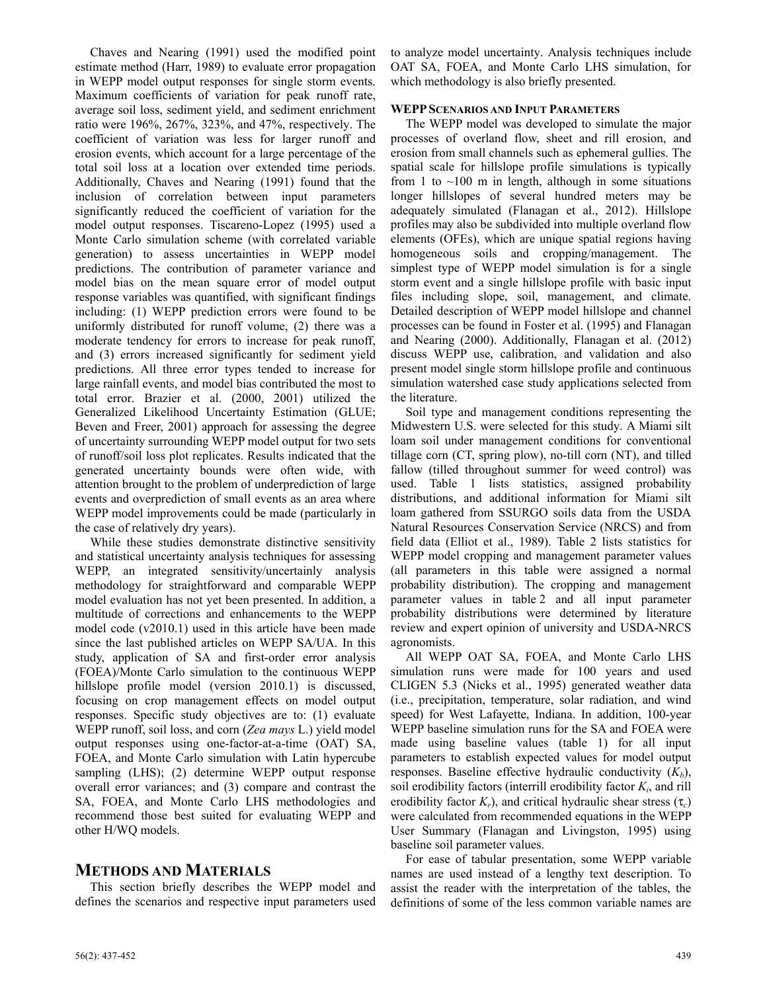Chaves and Nearing (1991) used the modified point estimate method (Harr, 1989) to evaluate error propagation in WEPP model output responses for single storm events. Maximum coefficients of variation for peak runoff rate, average soil loss, sediment yield, and sediment enrichment ratio were 196%, 267%, 323%, and 47%, respectively. The coefficient of variation was less for larger runoff and erosion events, which account for a large percentage of the total soil loss at a location over extended time periods. Additionally, Chaves and Nearing (1991) found that the inclusion of correlation between input parameters significantly reduced the coefficient of variation for the model output responses. Tiscareno-Lopez (1995) used a Monte Carlo simulation scheme (with correlated variable generation) to assess uncertainties in WEPP model predictions. The contribution of parameter variance and model bias on the mean square error of model output response variables was quantified, with significant findings including: (1) WEPP prediction errors were found to be uniformly distributed for runoff volume, (2) there was a moderate tendency for errors to increase for peak runoff, and (3) errors increased significantly for sediment yield predictions. All three error types tended to increase for large rainfall events, and model bias contributed the most to total error. Brazier et al. (2000, 2001) utilized the Generalized Likelihood Uncertainty Estimation (GLUE; Beven and Freer, 2001) approach for assessing the degree of uncertainty surrounding WEPP model output for two sets of runoff/soil loss plot replicates. Results indicated that the generated uncertainty bounds were often wide, with attention brought to the problem of underprediction of large events and overprediction of small events as an area where WEPP model improvements could be made (particularly in the case of relatively dry years).

While these studies demonstrate distinctive sensitivity and statistical uncertainty analysis techniques for assessing WEPP, an integrated sensitivity/uncertainly analysis methodology for straightforward and comparable WEPP model evaluation has not yet been presented. In addition, a multitude of corrections and enhancements to the WEPP model code (v2010.1) used in this article have been made since the last published articles on WEPP SA/UA. In this study, application of SA and first-order error analysis (FOEA)/Monte Carlo simulation to the continuous WEPP hillslope profile model (version 2010.1) is discussed, focusing on crop management effects on model output responses. Specific study objectives are to: (1) evaluate WEPP runoff, soil loss, and corn (*Zea mays* L.) yield model output responses using one-factor-at-a-time (OAT) SA, FOEA, and Monte Carlo simulation with Latin hypercube sampling (LHS); (2) determine WEPP output response overall error variances; and (3) compare and contrast the SA, FOEA, and Monte Carlo LHS methodologies and recommend those best suited for evaluating WEPP and other H/WQ models.

# **METHODS AND MATERIALS**

This section briefly describes the WEPP model and defines the scenarios and respective input parameters used to analyze model uncertainty. Analysis techniques include OAT SA, FOEA, and Monte Carlo LHS simulation, for which methodology is also briefly presented.

# **WEPPSCENARIOS AND INPUT PARAMETERS**

The WEPP model was developed to simulate the major processes of overland flow, sheet and rill erosion, and erosion from small channels such as ephemeral gullies. The spatial scale for hillslope profile simulations is typically from 1 to  $\sim$ 100 m in length, although in some situations longer hillslopes of several hundred meters may be adequately simulated (Flanagan et al., 2012). Hillslope profiles may also be subdivided into multiple overland flow elements (OFEs), which are unique spatial regions having homogeneous soils and cropping/management. The simplest type of WEPP model simulation is for a single storm event and a single hillslope profile with basic input files including slope, soil, management, and climate. Detailed description of WEPP model hillslope and channel processes can be found in Foster et al. (1995) and Flanagan and Nearing (2000). Additionally, Flanagan et al. (2012) discuss WEPP use, calibration, and validation and also present model single storm hillslope profile and continuous simulation watershed case study applications selected from the literature.

Soil type and management conditions representing the Midwestern U.S. were selected for this study. A Miami silt loam soil under management conditions for conventional tillage corn (CT, spring plow), no-till corn (NT), and tilled fallow (tilled throughout summer for weed control) was used. Table 1 lists statistics, assigned probability distributions, and additional information for Miami silt loam gathered from SSURGO soils data from the USDA Natural Resources Conservation Service (NRCS) and from field data (Elliot et al., 1989). Table 2 lists statistics for WEPP model cropping and management parameter values (all parameters in this table were assigned a normal probability distribution). The cropping and management parameter values in table 2 and all input parameter probability distributions were determined by literature review and expert opinion of university and USDA-NRCS agronomists.

All WEPP OAT SA, FOEA, and Monte Carlo LHS simulation runs were made for 100 years and used CLIGEN 5.3 (Nicks et al., 1995) generated weather data (i.e., precipitation, temperature, solar radiation, and wind speed) for West Lafayette, Indiana. In addition, 100-year WEPP baseline simulation runs for the SA and FOEA were made using baseline values (table 1) for all input parameters to establish expected values for model output responses. Baseline effective hydraulic conductivity  $(K_b)$ , soil erodibility factors (interrill erodibility factor  $K<sub>i</sub>$ , and rill erodibility factor  $K_r$ ), and critical hydraulic shear stress  $(\tau_c)$ were calculated from recommended equations in the WEPP User Summary (Flanagan and Livingston, 1995) using baseline soil parameter values.

For ease of tabular presentation, some WEPP variable names are used instead of a lengthy text description. To assist the reader with the interpretation of the tables, the definitions of some of the less common variable names are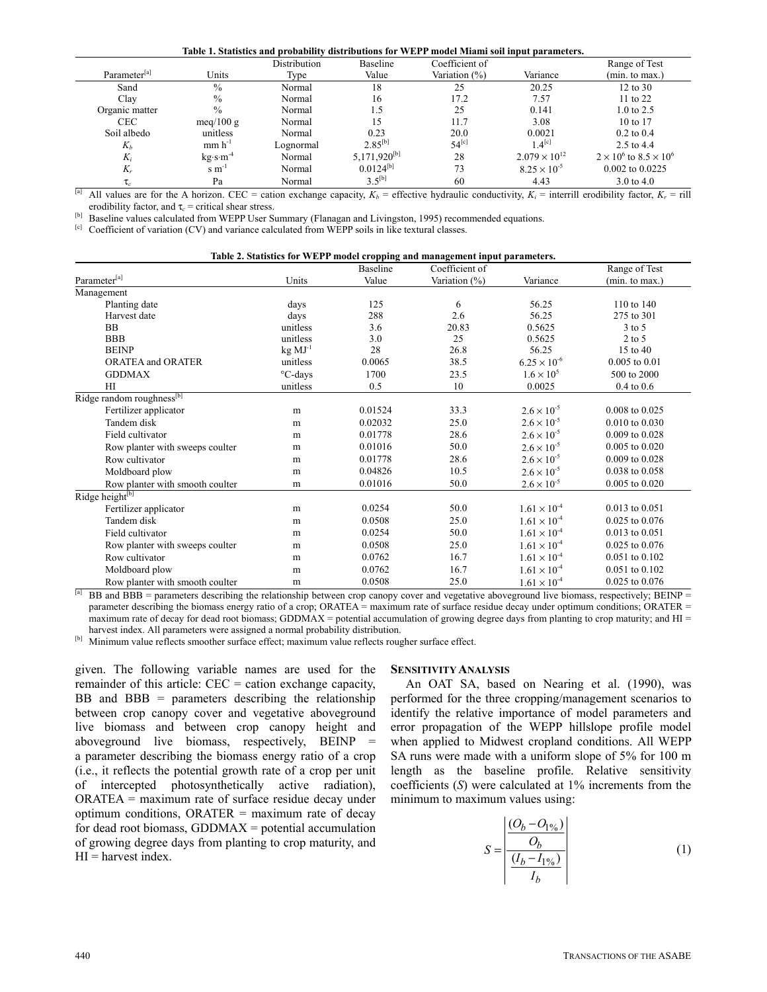#### **Table 1. Statistics and probability distributions for WEPP model Miami soil input parameters.**

| Parameter <sup>[a]</sup> | Units          | Distribution<br>Type | Baseline<br>Value | Coefficient of<br>Variation (%) | Variance                 | Range of Test<br>(min. to max.)      |
|--------------------------|----------------|----------------------|-------------------|---------------------------------|--------------------------|--------------------------------------|
|                          |                |                      |                   |                                 |                          |                                      |
| Sand                     | $\%$           | Normal               | 18                | 25                              | 20.25                    | 12 to 30                             |
| Clay                     | $\%$           | Normal               | 16                | 17.2                            | 7.57                     | 11 to 22                             |
| Organic matter           | $\%$           | Normal               | 1.5               | 25                              | 0.141                    | $1.0 \text{ to } 2.5$                |
| <b>CEC</b>               | meq/100 g      | Normal               | 15                | 11.7                            | 3.08                     | 10 to 17                             |
| Soil albedo              | unitless       | Normal               | 0.23              | 20.0                            | 0.0021                   | $0.2$ to $0.4$                       |
| $K_h$                    | $mm h^{-1}$    | Lognormal            | $2.85^{[b]}$      | $54^{[c]}$                      | $1.4^{\lbrack c\rbrack}$ | 2.5 to 4.4                           |
| $K_i$                    | $kg·s·m-4$     | Normal               | $5,171,920^{[b]}$ | 28                              | $2.079 \times 10^{12}$   | $2 \times 10^6$ to $8.5 \times 10^6$ |
| $K_r$                    | $\rm s~m^{-1}$ | Normal               | $0.0124^{[b]}$    | 73                              | $8.25 \times 10^{-5}$    | 0.002 to 0.0225                      |
| $\tau_c$                 | Pa             | Normal               | $3.5^{[b]}$       | 60                              | 4.43                     | $3.0 \text{ to } 4.0$                |

<sup>[a]</sup> All values are for the A horizon. CEC = cation exchange capacity,  $K_b$  = effective hydraulic conductivity,  $K_i$  = interrill erodibility factor,  $K_r$  = rill erodibility factor, and  $\tau_c$  = critical shear stress.<br><sup>[b]</sup> Baseline values calculated from WEPP User Summary (Flanagan and Livingston, 1995) recommended equations.<br><sup>[c]</sup> Coefficient of variation (CV) and variance calcul

|                                       |           |          | Table 2. Statistics for WEPP model cropping and management input parameters. |                       |                    |
|---------------------------------------|-----------|----------|------------------------------------------------------------------------------|-----------------------|--------------------|
|                                       |           | Baseline | Coefficient of                                                               |                       | Range of Test      |
| Parameter[a]                          | Units     | Value    | Variation (%)                                                                | Variance              | (min. to max.)     |
| Management                            |           |          |                                                                              |                       |                    |
| Planting date                         | days      | 125      | 6                                                                            | 56.25                 | 110 to 140         |
| Harvest date                          | days      | 288      | 2.6                                                                          | 56.25                 | 275 to 301         |
| <b>BB</b>                             | unitless  | 3.6      | 20.83                                                                        | 0.5625                | $3$ to $5$         |
| <b>BBB</b>                            | unitless  | 3.0      | 25                                                                           | 0.5625                | $2$ to 5           |
| <b>BEINP</b>                          | $kg MJ-1$ | 28       | 26.8                                                                         | 56.25                 | 15 to 40           |
| <b>ORATEA and ORATER</b>              | unitless  | 0.0065   | 38.5                                                                         | $6.25 \times 10^{-6}$ | $0.005$ to $0.01$  |
| <b>GDDMAX</b>                         | °C-days   | 1700     | 23.5                                                                         | $1.6 \times 10^{5}$   | 500 to 2000        |
| HI                                    | unitless  | 0.5      | 10                                                                           | 0.0025                | $0.4$ to $0.6$     |
| Ridge random roughness <sup>[b]</sup> |           |          |                                                                              |                       |                    |
| Fertilizer applicator                 | m         | 0.01524  | 33.3                                                                         | $2.6 \times 10^{-5}$  | $0.008$ to $0.025$ |
| Tandem disk                           | m         | 0.02032  | 25.0                                                                         | $2.6 \times 10^{-5}$  | 0.010 to 0.030     |
| Field cultivator                      | m         | 0.01778  | 28.6                                                                         | $2.6 \times 10^{-5}$  | $0.009$ to $0.028$ |
| Row planter with sweeps coulter       | m         | 0.01016  | 50.0                                                                         | $2.6 \times 10^{-5}$  | $0.005$ to $0.020$ |
| Row cultivator                        | m         | 0.01778  | 28.6                                                                         | $2.6 \times 10^{-5}$  | $0.009$ to $0.028$ |
| Moldboard plow                        | m         | 0.04826  | 10.5                                                                         | $2.6 \times 10^{-5}$  | 0.038 to 0.058     |
| Row planter with smooth coulter       | m         | 0.01016  | 50.0                                                                         | $2.6 \times 10^{-5}$  | $0.005$ to $0.020$ |
| Ridge height[b]                       |           |          |                                                                              |                       |                    |
| Fertilizer applicator                 | m         | 0.0254   | 50.0                                                                         | $1.61 \times 10^{-4}$ | $0.013$ to $0.051$ |
| Tandem disk                           | m         | 0.0508   | 25.0                                                                         | $1.61 \times 10^{-4}$ | $0.025$ to $0.076$ |
| Field cultivator                      | m         | 0.0254   | 50.0                                                                         | $1.61 \times 10^{-4}$ | $0.013$ to $0.051$ |
| Row planter with sweeps coulter       | m         | 0.0508   | 25.0                                                                         | $1.61 \times 10^{-4}$ | 0.025 to 0.076     |
| Row cultivator                        | m         | 0.0762   | 16.7                                                                         | $1.61 \times 10^{-4}$ | 0.051 to 0.102     |
| Moldboard plow                        | m         | 0.0762   | 16.7                                                                         | $1.61 \times 10^{-4}$ | 0.051 to 0.102     |
| Row planter with smooth coulter       | m         | 0.0508   | 25.0                                                                         | $1.61 \times 10^{-4}$ | 0.025 to 0.076     |

<sup>[a]</sup> BB and BBB = parameters describing the relationship between crop canopy cover and vegetative aboveground live biomass, respectively; BEINP = parameter describing the biomass energy ratio of a crop; ORATEA = maximum rate of surface residue decay under optimum conditions; ORATER = maximum rate of decay for dead root biomass; GDDMAX = potential accumulation of growing degree days from planting to crop maturity; and  $HI =$ harvest index. All parameters were assigned a normal probability distribution.<br><sup>[b]</sup> Minimum value reflects smoother surface effect; maximum value reflects rougher surface effect.

given. The following variable names are used for the remainder of this article: CEC = cation exchange capacity,  $BB$  and  $BBB$  = parameters describing the relationship between crop canopy cover and vegetative aboveground live biomass and between crop canopy height and aboveground live biomass, respectively, BEINP = a parameter describing the biomass energy ratio of a crop (i.e., it reflects the potential growth rate of a crop per unit of intercepted photosynthetically active radiation), ORATEA = maximum rate of surface residue decay under optimum conditions, ORATER = maximum rate of decay for dead root biomass, GDDMAX = potential accumulation of growing degree days from planting to crop maturity, and  $HI =$  harvest index.

#### **SENSITIVITY ANALYSIS**

An OAT SA, based on Nearing et al. (1990), was performed for the three cropping/management scenarios to identify the relative importance of model parameters and error propagation of the WEPP hillslope profile model when applied to Midwest cropland conditions. All WEPP SA runs were made with a uniform slope of 5% for 100 m length as the baseline profile. Relative sensitivity coefficients (*S*) were calculated at 1% increments from the minimum to maximum values using:

$$
S = \frac{\left| \frac{(O_b - O_{1\%})}{O_b}\right|}{\frac{(I_b - I_{1\%})}{I_b}}
$$
(1)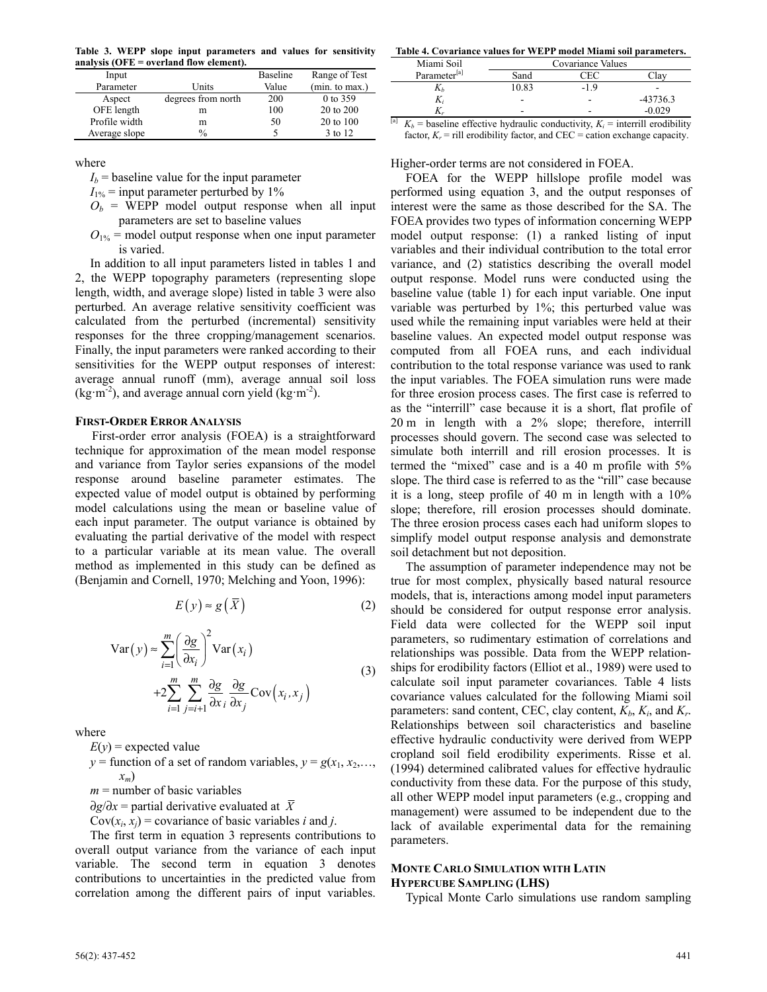**Table 3. WEPP slope input parameters and values for sensitivity analysis (OFE = overland flow element).** 

| Input         |                    | Baseline | Range of Test  |
|---------------|--------------------|----------|----------------|
| Parameter     | Units              | Value    | (min. to max.) |
| Aspect        | degrees from north | 200      | 0 to 359       |
| OFE length    | m                  | 100      | 20 to 200      |
| Profile width | m                  | 50       | 20 to 100      |
| Average slope | $\%$               |          | 3 to 12        |

where

 $I_b$  = baseline value for the input parameter

 $I_{1\%}$  = input parameter perturbed by 1%

- $O_b$  = WEPP model output response when all input parameters are set to baseline values
- $O_{1\%}$  = model output response when one input parameter is varied.

In addition to all input parameters listed in tables 1 and 2, the WEPP topography parameters (representing slope length, width, and average slope) listed in table 3 were also perturbed. An average relative sensitivity coefficient was calculated from the perturbed (incremental) sensitivity responses for the three cropping/management scenarios. Finally, the input parameters were ranked according to their sensitivities for the WEPP output responses of interest: average annual runoff (mm), average annual soil loss  $(kg·m<sup>-2</sup>)$ , and average annual corn yield  $(kg·m<sup>-2</sup>)$ .

## **FIRST-ORDER ERROR ANALYSIS**

First-order error analysis (FOEA) is a straightforward technique for approximation of the mean model response and variance from Taylor series expansions of the model response around baseline parameter estimates. The expected value of model output is obtained by performing model calculations using the mean or baseline value of each input parameter. The output variance is obtained by evaluating the partial derivative of the model with respect to a particular variable at its mean value. The overall method as implemented in this study can be defined as (Benjamin and Cornell, 1970; Melching and Yoon, 1996):

$$
E(y) \approx g(\overline{X})
$$
 (2)

$$
\operatorname{Var}(y) \approx \sum_{i=1}^{m} \left(\frac{\partial g}{\partial x_i}\right)^2 \operatorname{Var}(x_i)
$$
  
+2
$$
\sum_{i=1}^{m} \sum_{j=i+1}^{m} \frac{\partial g}{\partial x_j} \frac{\partial g}{\partial x_j} \operatorname{Cov}(x_i, x_j)
$$
(3)

where

 $E(y)$  = expected value

 $y =$  function of a set of random variables,  $y = g(x_1, x_2,...,$ *xm*)

 $m =$  number of basic variables

∂*g*/∂*x* = partial derivative evaluated at *X*

Cov $(x_i, x_j)$  = covariance of basic variables *i* and *j*.

The first term in equation 3 represents contributions to overall output variance from the variance of each input variable. The second term in equation 3 denotes contributions to uncertainties in the predicted value from correlation among the different pairs of input variables.

**Table 4. Covariance values for WEPP model Miami soil parameters.**

| Miami Soil                        |                          | Covariance Values                                                                                                                                                                                                                 |            |
|-----------------------------------|--------------------------|-----------------------------------------------------------------------------------------------------------------------------------------------------------------------------------------------------------------------------------|------------|
| Parameter <sup>[a]</sup>          | Sand                     | ∩F C                                                                                                                                                                                                                              |            |
|                                   | 10.83                    | -19                                                                                                                                                                                                                               |            |
|                                   |                          |                                                                                                                                                                                                                                   | $-43736.3$ |
|                                   | -                        | -                                                                                                                                                                                                                                 | $-0.029$   |
| $\mathbf{v}$<br>$\cdot$<br>$\sim$ | $\cdots$<br>$\mathbf{r}$ | $\mathbf{r}$ , and the second second the second second second second second second second second second second second second second second second second second second second second second second second second second second se | .          |

<sup>[a]</sup>  $K_b$  = baseline effective hydraulic conductivity,  $K_i$  = interrill erodibility factor,  $K_r$  = rill erodibility factor, and CEC = cation exchange capacity.

## Higher-order terms are not considered in FOEA.

FOEA for the WEPP hillslope profile model was performed using equation 3, and the output responses of interest were the same as those described for the SA. The FOEA provides two types of information concerning WEPP model output response: (1) a ranked listing of input variables and their individual contribution to the total error variance, and (2) statistics describing the overall model output response. Model runs were conducted using the baseline value (table 1) for each input variable. One input variable was perturbed by 1%; this perturbed value was used while the remaining input variables were held at their baseline values. An expected model output response was computed from all FOEA runs, and each individual contribution to the total response variance was used to rank the input variables. The FOEA simulation runs were made for three erosion process cases. The first case is referred to as the "interrill" case because it is a short, flat profile of 20 m in length with a 2% slope; therefore, interrill processes should govern. The second case was selected to simulate both interrill and rill erosion processes. It is termed the "mixed" case and is a 40 m profile with 5% slope. The third case is referred to as the "rill" case because it is a long, steep profile of 40 m in length with a 10% slope; therefore, rill erosion processes should dominate. The three erosion process cases each had uniform slopes to simplify model output response analysis and demonstrate soil detachment but not deposition.

The assumption of parameter independence may not be true for most complex, physically based natural resource models, that is, interactions among model input parameters should be considered for output response error analysis. Field data were collected for the WEPP soil input parameters, so rudimentary estimation of correlations and relationships was possible. Data from the WEPP relationships for erodibility factors (Elliot et al., 1989) were used to calculate soil input parameter covariances. Table 4 lists covariance values calculated for the following Miami soil parameters: sand content, CEC, clay content,  $K_b$ ,  $K_i$ , and  $K_r$ . Relationships between soil characteristics and baseline effective hydraulic conductivity were derived from WEPP cropland soil field erodibility experiments. Risse et al. (1994) determined calibrated values for effective hydraulic conductivity from these data. For the purpose of this study, all other WEPP model input parameters (e.g., cropping and management) were assumed to be independent due to the lack of available experimental data for the remaining parameters.

#### **MONTE CARLO SIMULATION WITH LATIN HYPERCUBE SAMPLING (LHS)**

Typical Monte Carlo simulations use random sampling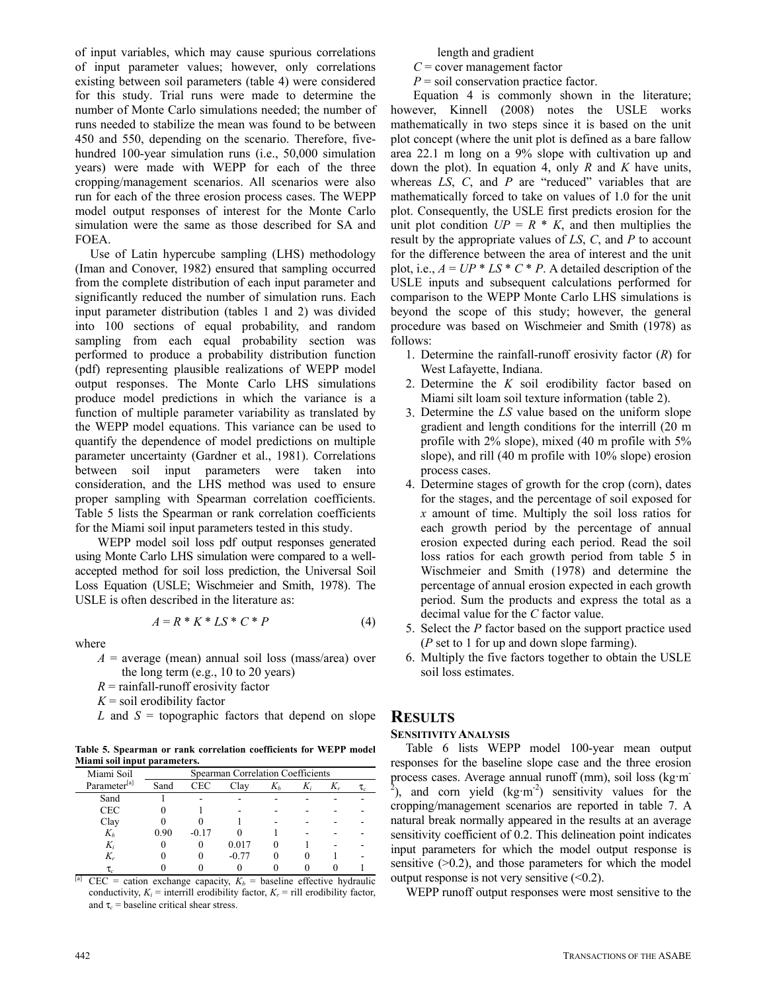of input variables, which may cause spurious correlations of input parameter values; however, only correlations existing between soil parameters (table 4) were considered for this study. Trial runs were made to determine the number of Monte Carlo simulations needed; the number of runs needed to stabilize the mean was found to be between 450 and 550, depending on the scenario. Therefore, fivehundred 100-year simulation runs (i.e., 50,000 simulation years) were made with WEPP for each of the three cropping/management scenarios. All scenarios were also run for each of the three erosion process cases. The WEPP model output responses of interest for the Monte Carlo simulation were the same as those described for SA and FOEA.

Use of Latin hypercube sampling (LHS) methodology (Iman and Conover, 1982) ensured that sampling occurred from the complete distribution of each input parameter and significantly reduced the number of simulation runs. Each input parameter distribution (tables 1 and 2) was divided into 100 sections of equal probability, and random sampling from each equal probability section was performed to produce a probability distribution function (pdf) representing plausible realizations of WEPP model output responses. The Monte Carlo LHS simulations produce model predictions in which the variance is a function of multiple parameter variability as translated by the WEPP model equations. This variance can be used to quantify the dependence of model predictions on multiple parameter uncertainty (Gardner et al., 1981). Correlations between soil input parameters were taken into consideration, and the LHS method was used to ensure proper sampling with Spearman correlation coefficients. Table 5 lists the Spearman or rank correlation coefficients for the Miami soil input parameters tested in this study.

WEPP model soil loss pdf output responses generated using Monte Carlo LHS simulation were compared to a wellaccepted method for soil loss prediction, the Universal Soil Loss Equation (USLE; Wischmeier and Smith, 1978). The USLE is often described in the literature as:

$$
A = R * K * LS * C * P \tag{4}
$$

where

- $A =$  average (mean) annual soil loss (mass/area) over the long term (e.g., 10 to 20 years)
- $R =$  rainfall-runoff erosivity factor

 $K =$ soil erodibility factor

 $L$  and  $S =$  topographic factors that depend on slope

**Table 5. Spearman or rank correlation coefficients for WEPP model Miami soil input parameters.** 

| Miami Soil               |      |         | Spearman Correlation Coefficients |       |       |    |    |
|--------------------------|------|---------|-----------------------------------|-------|-------|----|----|
| Parameter <sup>[a]</sup> | Sand | CEC     | Clav                              | $K_h$ | $K_i$ | K, | τ, |
| Sand                     |      |         |                                   |       |       |    |    |
| <b>CEC</b>               |      |         |                                   |       |       |    |    |
| Clay                     |      |         |                                   |       |       |    |    |
| $K_b$                    | 0.90 | $-0.17$ |                                   |       |       |    |    |
| $K_i$                    |      |         | 0.017                             |       |       |    |    |
| K.,                      |      |         | $-0.77$                           |       |       |    |    |
|                          |      |         |                                   |       |       |    |    |

 $CEC =$  cation exchange capacity,  $K_b =$  baseline effective hydraulic conductivity,  $K_i$  = interrill erodibility factor,  $K_r$  = rill erodibility factor, and  $\tau_c$  = baseline critical shear stress.

length and gradient

*C* = cover management factor

*P* = soil conservation practice factor.

Equation 4 is commonly shown in the literature; however, Kinnell (2008) notes the USLE works mathematically in two steps since it is based on the unit plot concept (where the unit plot is defined as a bare fallow area 22.1 m long on a 9% slope with cultivation up and down the plot). In equation 4, only *R* and *K* have units, whereas *LS*, *C*, and *P* are "reduced" variables that are mathematically forced to take on values of 1.0 for the unit plot. Consequently, the USLE first predicts erosion for the unit plot condition  $UP = R * K$ , and then multiplies the result by the appropriate values of *LS*, *C*, and *P* to account for the difference between the area of interest and the unit plot, i.e.,  $A = UP * LS * C * P$ . A detailed description of the USLE inputs and subsequent calculations performed for comparison to the WEPP Monte Carlo LHS simulations is beyond the scope of this study; however, the general procedure was based on Wischmeier and Smith (1978) as follows:

- 1. Determine the rainfall-runoff erosivity factor (*R*) for West Lafayette, Indiana.
- 2. Determine the *K* soil erodibility factor based on Miami silt loam soil texture information (table 2).
- 3. Determine the *LS* value based on the uniform slope gradient and length conditions for the interrill (20 m profile with 2% slope), mixed (40 m profile with 5% slope), and rill (40 m profile with 10% slope) erosion process cases.
- 4. Determine stages of growth for the crop (corn), dates for the stages, and the percentage of soil exposed for *x* amount of time. Multiply the soil loss ratios for each growth period by the percentage of annual erosion expected during each period. Read the soil loss ratios for each growth period from table 5 in Wischmeier and Smith (1978) and determine the percentage of annual erosion expected in each growth period. Sum the products and express the total as a decimal value for the *C* factor value.
- 5. Select the *P* factor based on the support practice used (*P* set to 1 for up and down slope farming).
- 6. Multiply the five factors together to obtain the USLE soil loss estimates.

# **RESULTS**

## **SENSITIVITY ANALYSIS**

Table 6 lists WEPP model 100-year mean output responses for the baseline slope case and the three erosion process cases. Average annual runoff (mm), soil loss (kg·m<sup>-</sup> <sup>2</sup>), and corn yield  $(kg·m<sup>-2</sup>)$  sensitivity values for the cropping/management scenarios are reported in table 7. A natural break normally appeared in the results at an average sensitivity coefficient of 0.2. This delineation point indicates input parameters for which the model output response is sensitive  $(0.2)$ , and those parameters for which the model output response is not very sensitive  $(\leq 0.2)$ .

WEPP runoff output responses were most sensitive to the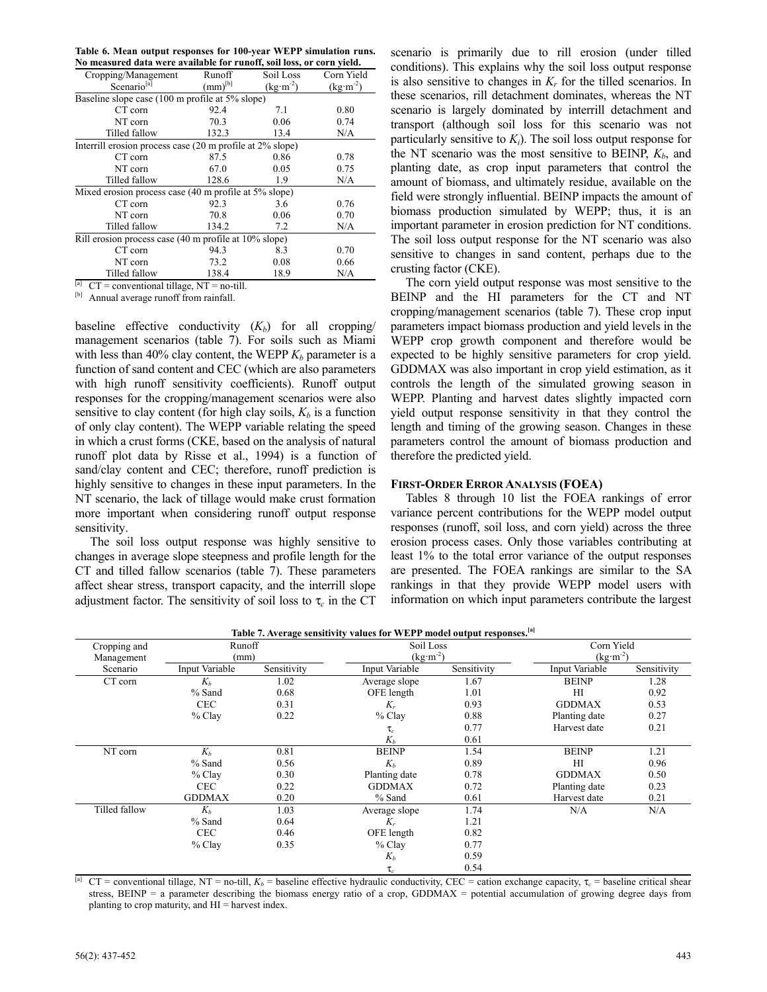| Table 6. Mean output responses for 100-year WEPP simulation runs.     |  |  |
|-----------------------------------------------------------------------|--|--|
| No measured data were available for runoff, soil loss, or corn yield. |  |  |

| Cropping/Management                                       | Runoff                     | Soil Loss  | Corn Yield |
|-----------------------------------------------------------|----------------------------|------------|------------|
| Scenario <sup>[a]</sup>                                   | $\text{(mm)}^{\text{[b]}}$ | $(kg·m-2)$ | $(kg·m-2)$ |
| Baseline slope case (100 m profile at 5% slope)           |                            |            |            |
| CT corn                                                   | 92.4                       | 7.1        | 0.80       |
| NT corn                                                   | 70.3                       | 0.06       | 0.74       |
| Tilled fallow                                             | 132.3                      | 13.4       | N/A        |
| Interrill erosion process case (20 m profile at 2% slope) |                            |            |            |
| CT corn                                                   | 87.5                       | 0.86       | 0.78       |
| NT corn                                                   | 67.0                       | 0.05       | 0.75       |
| Tilled fallow                                             | 128.6                      | 1.9        | N/A        |
| Mixed erosion process case (40 m profile at 5% slope)     |                            |            |            |
| CT corn                                                   | 92.3                       | 3.6        | 0.76       |
| NT corn                                                   | 70.8                       | 0.06       | 0.70       |
| Tilled fallow                                             | 134.2                      | 7.2        | N/A        |
| Rill erosion process case (40 m profile at 10% slope)     |                            |            |            |
| CT corn                                                   | 94.3                       | 8.3        | 0.70       |
| NT corn                                                   | 73.2                       | 0.08       | 0.66       |
| Tilled fallow                                             | 138.4                      | 18.9       | N/A        |
| $F_{\alpha}T$                                             |                            |            |            |

<sup>[a]</sup> CT = conventional tillage, NT = no-till.

Annual average runoff from rainfall.

baseline effective conductivity  $(K_b)$  for all cropping/ management scenarios (table 7). For soils such as Miami with less than 40% clay content, the WEPP  $K_b$  parameter is a function of sand content and CEC (which are also parameters with high runoff sensitivity coefficients). Runoff output responses for the cropping/management scenarios were also sensitive to clay content (for high clay soils,  $K_b$  is a function of only clay content). The WEPP variable relating the speed in which a crust forms (CKE, based on the analysis of natural runoff plot data by Risse et al., 1994) is a function of sand/clay content and CEC; therefore, runoff prediction is highly sensitive to changes in these input parameters. In the NT scenario, the lack of tillage would make crust formation more important when considering runoff output response sensitivity.

The soil loss output response was highly sensitive to changes in average slope steepness and profile length for the CT and tilled fallow scenarios (table 7). These parameters affect shear stress, transport capacity, and the interrill slope adjustment factor. The sensitivity of soil loss to  $\tau_c$  in the CT scenario is primarily due to rill erosion (under tilled conditions). This explains why the soil loss output response is also sensitive to changes in  $K_r$  for the tilled scenarios. In these scenarios, rill detachment dominates, whereas the NT scenario is largely dominated by interrill detachment and transport (although soil loss for this scenario was not particularly sensitive to  $K_i$ ). The soil loss output response for the NT scenario was the most sensitive to BEINP,  $K_b$ , and planting date, as crop input parameters that control the amount of biomass, and ultimately residue, available on the field were strongly influential. BEINP impacts the amount of biomass production simulated by WEPP; thus, it is an important parameter in erosion prediction for NT conditions. The soil loss output response for the NT scenario was also sensitive to changes in sand content, perhaps due to the crusting factor (CKE).

The corn yield output response was most sensitive to the BEINP and the HI parameters for the CT and NT cropping/management scenarios (table 7). These crop input parameters impact biomass production and yield levels in the WEPP crop growth component and therefore would be expected to be highly sensitive parameters for crop yield. GDDMAX was also important in crop yield estimation, as it controls the length of the simulated growing season in WEPP. Planting and harvest dates slightly impacted corn yield output response sensitivity in that they control the length and timing of the growing season. Changes in these parameters control the amount of biomass production and therefore the predicted yield.

#### **FIRST-ORDER ERROR ANALYSIS (FOEA)**

Tables 8 through 10 list the FOEA rankings of error variance percent contributions for the WEPP model output responses (runoff, soil loss, and corn yield) across the three erosion process cases. Only those variables contributing at least 1% to the total error variance of the output responses are presented. The FOEA rankings are similar to the SA rankings in that they provide WEPP model users with information on which input parameters contribute the largest

|                            |                |             | Table 7. Average sensitivity values for WEPP model output responses. [a] |             |                          |             |
|----------------------------|----------------|-------------|--------------------------------------------------------------------------|-------------|--------------------------|-------------|
| Cropping and<br>Management | Runoff<br>(mm) |             | Soil Loss<br>$(kg·m-2)$                                                  |             | Corn Yield<br>$(kg·m-2)$ |             |
| Scenario                   | Input Variable | Sensitivity | Input Variable                                                           | Sensitivity | Input Variable           | Sensitivity |
| CT corn                    | $K_b$          | 1.02        | Average slope                                                            | 1.67        | <b>BEINP</b>             | 1.28        |
|                            | % Sand         | 0.68        | OFE length                                                               | 1.01        | H <sub>I</sub>           | 0.92        |
|                            | <b>CEC</b>     | 0.31        | $K_r$                                                                    | 0.93        | <b>GDDMAX</b>            | 0.53        |
|                            | $%$ Clay       | 0.22        | $%$ Clay                                                                 | 0.88        | Planting date            | 0.27        |
|                            |                |             | $\tau_c$                                                                 | 0.77        | Harvest date             | 0.21        |
|                            |                |             | $K_h$                                                                    | 0.61        |                          |             |
| NT corn                    | $K_h$          | 0.81        | <b>BEINP</b>                                                             | 1.54        | <b>BEINP</b>             | 1.21        |
|                            | % Sand         | 0.56        | $K_h$                                                                    | 0.89        | HI                       | 0.96        |
|                            | % Clay         | 0.30        | Planting date                                                            | 0.78        | <b>GDDMAX</b>            | 0.50        |
|                            | <b>CEC</b>     | 0.22        | <b>GDDMAX</b>                                                            | 0.72        | Planting date            | 0.23        |
|                            | <b>GDDMAX</b>  | 0.20        | % Sand                                                                   | 0.61        | Harvest date             | 0.21        |
| Tilled fallow              | $K_h$          | 1.03        | Average slope                                                            | 1.74        | N/A                      | N/A         |
|                            | % Sand         | 0.64        | $K_r$                                                                    | 1.21        |                          |             |
|                            | <b>CEC</b>     | 0.46        | OFE length                                                               | 0.82        |                          |             |
|                            | $%$ Clay       | 0.35        | $%$ Clay                                                                 | 0.77        |                          |             |
|                            |                |             | $K_h$                                                                    | 0.59        |                          |             |
|                            |                |             | $\tau$                                                                   | 0.54        |                          |             |

<sup>[a]</sup> CT = conventional tillage, NT = no-till,  $K_b$  = baseline effective hydraulic conductivity, CEC = cation exchange capacity, τ<sub>c</sub> = baseline critical shear stress, BEINP = a parameter describing the biomass energy ratio of a crop, GDDMAX = potential accumulation of growing degree days from planting to crop maturity, and  $HI =$  harvest index.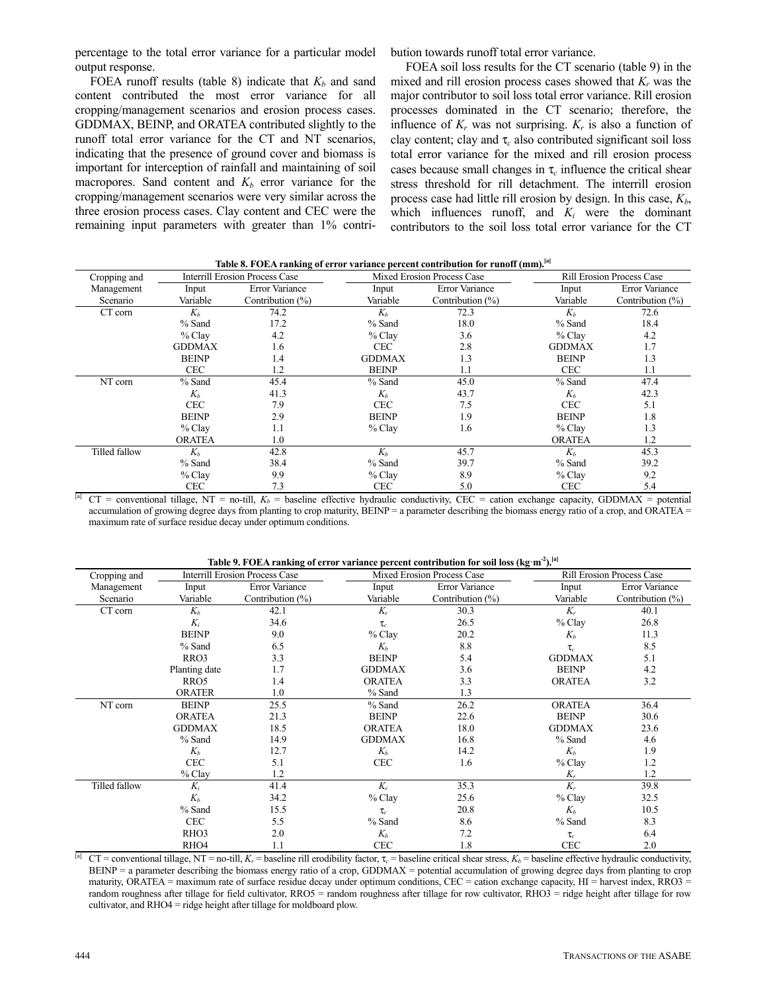percentage to the total error variance for a particular model output response.

bution towards runoff total error variance.

FOEA runoff results (table 8) indicate that  $K_b$  and sand content contributed the most error variance for all cropping/management scenarios and erosion process cases. GDDMAX, BEINP, and ORATEA contributed slightly to the runoff total error variance for the CT and NT scenarios, indicating that the presence of ground cover and biomass is important for interception of rainfall and maintaining of soil macropores. Sand content and  $K_b$  error variance for the cropping/management scenarios were very similar across the three erosion process cases. Clay content and CEC were the remaining input parameters with greater than 1% contri-

FOEA soil loss results for the CT scenario (table 9) in the mixed and rill erosion process cases showed that  $K_r$  was the major contributor to soil loss total error variance. Rill erosion processes dominated in the CT scenario; therefore, the influence of  $K_r$  was not surprising.  $K_r$  is also a function of clay content; clay and τ*c* also contributed significant soil loss total error variance for the mixed and rill erosion process cases because small changes in  $\tau_c$  influence the critical shear stress threshold for rill detachment. The interrill erosion process case had little rill erosion by design. In this case,  $K<sub>b</sub>$ , which influences runoff, and  $K_i$  were the dominant contributors to the soil loss total error variance for the CT

| Cropping and  |               | raon of Follit Handing of Grot Tarnance percent contribution for Fanon (him).<br><b>Interrill Erosion Process Case</b> |               | Mixed Erosion Process Case |               | <b>Rill Erosion Process Case</b> |
|---------------|---------------|------------------------------------------------------------------------------------------------------------------------|---------------|----------------------------|---------------|----------------------------------|
| Management    | Input         | <b>Error Variance</b>                                                                                                  | Input         | <b>Error Variance</b>      | Input         | Error Variance                   |
| Scenario      | Variable      | Contribution $(\% )$                                                                                                   | Variable      | Contribution $(\% )$       | Variable      | Contribution $(\%)$              |
| CT corn       | $K_h$         | 74.2                                                                                                                   | $K_h$         | 72.3                       | $K_h$         | 72.6                             |
|               | % Sand        | 17.2                                                                                                                   | % Sand        | 18.0                       | % Sand        | 18.4                             |
|               | $%$ Clay      | 4.2                                                                                                                    | $%$ Clay      | 3.6                        | $%$ Clay      | 4.2                              |
|               | <b>GDDMAX</b> | 1.6                                                                                                                    | <b>CEC</b>    | 2.8                        | <b>GDDMAX</b> | 1.7                              |
|               | <b>BEINP</b>  | 1.4                                                                                                                    | <b>GDDMAX</b> | 1.3                        | <b>BEINP</b>  | 1.3                              |
|               | <b>CEC</b>    | 1.2                                                                                                                    | <b>BEINP</b>  | 1.1                        | <b>CEC</b>    | 1.1                              |
| NT corn       | % Sand        | 45.4                                                                                                                   | % Sand        | 45.0                       | $%$ Sand      | 47.4                             |
|               | $K_h$         | 41.3                                                                                                                   | $K_h$         | 43.7                       | $K_h$         | 42.3                             |
|               | <b>CEC</b>    | 7.9                                                                                                                    | <b>CEC</b>    | 7.5                        | <b>CEC</b>    | 5.1                              |
|               | <b>BEINP</b>  | 2.9                                                                                                                    | <b>BEINP</b>  | 1.9                        | <b>BEINP</b>  | 1.8                              |
|               | $%$ Clay      | 1.1                                                                                                                    | $%$ Clay      | 1.6                        | $%$ Clay      | 1.3                              |
|               | <b>ORATEA</b> | 1.0                                                                                                                    |               |                            | <b>ORATEA</b> | 1.2                              |
| Tilled fallow | $K_h$         | 42.8                                                                                                                   | $K_h$         | 45.7                       | $K_h$         | 45.3                             |
|               | % Sand        | 38.4                                                                                                                   | $%$ Sand      | 39.7                       | $%$ Sand      | 39.2                             |
|               | $%$ Clay      | 9.9                                                                                                                    | $%$ Clay      | 8.9                        | $%$ Clay      | 9.2                              |
|               | <b>CEC</b>    | 7.3                                                                                                                    | <b>CEC</b>    | 5.0                        | <b>CEC</b>    | 5.4                              |

**Table 8. FOEA ranking of error variance percent contribution for runoff (mm).[a]**

 $CT$  = conventional tillage, NT = no-till,  $K_b$  = baseline effective hydraulic conductivity, CEC = cation exchange capacity, GDDMAX = potential accumulation of growing degree days from planting to crop maturity, BEINP = a parameter describing the biomass energy ratio of a crop, and ORATEA = maximum rate of surface residue decay under optimum conditions.

**Table 9. FOEA ranking of error variance percent contribution for soil loss (kgm-2).[a]**

| Cropping and  |                  | Interrill Erosion Process Case |               | Mixed Erosion Process Case |               | <b>Rill Erosion Process Case</b> |
|---------------|------------------|--------------------------------|---------------|----------------------------|---------------|----------------------------------|
| Management    | Input            | Error Variance                 | Input         | Error Variance             | Input         | Error Variance                   |
| Scenario      | Variable         | Contribution $(\%)$            | Variable      | Contribution (%)           | Variable      | Contribution $(\%)$              |
| CT corn       | $K_h$            | 42.1                           | $K_r$         | 30.3                       | $K_r$         | 40.1                             |
|               | $K_i$            | 34.6                           | $\tau_{c}$    | 26.5                       | $%$ Clay      | 26.8                             |
|               | <b>BEINP</b>     | 9.0                            | % Clay        | 20.2                       | $K_h$         | 11.3                             |
|               | % Sand           | 6.5                            | $K_h$         | 8.8                        | $\tau_c$      | 8.5                              |
|               | RRO3             | 3.3                            | <b>BEINP</b>  | 5.4                        | <b>GDDMAX</b> | 5.1                              |
|               | Planting date    | 1.7                            | <b>GDDMAX</b> | 3.6                        | <b>BEINP</b>  | 4.2                              |
|               | RRO <sub>5</sub> | 1.4                            | <b>ORATEA</b> | 3.3                        | <b>ORATEA</b> | 3.2                              |
|               | <b>ORATER</b>    | 1.0                            | % Sand        | 1.3                        |               |                                  |
| NT corn       | <b>BEINP</b>     | 25.5                           | % Sand        | 26.2                       | <b>ORATEA</b> | 36.4                             |
|               | <b>ORATEA</b>    | 21.3                           | <b>BEINP</b>  | 22.6                       | <b>BEINP</b>  | 30.6                             |
|               | <b>GDDMAX</b>    | 18.5                           | <b>ORATEA</b> | 18.0                       | <b>GDDMAX</b> | 23.6                             |
|               | % Sand           | 14.9                           | <b>GDDMAX</b> | 16.8                       | % Sand        | 4.6                              |
|               | $K_h$            | 12.7                           | $K_h$         | 14.2                       | $K_h$         | 1.9                              |
|               | <b>CEC</b>       | 5.1                            | <b>CEC</b>    | 1.6                        | $%$ Clay      | 1.2                              |
|               | $%$ Clay         | 1.2                            |               |                            | $K_r$         | 1.2                              |
| Tilled fallow | $K_i$            | 41.4                           | $K_r$         | 35.3                       | $K_r$         | 39.8                             |
|               | $K_h$            | 34.2                           | $%$ Clay      | 25.6                       | $%$ Clay      | 32.5                             |
|               | % Sand           | 15.5                           | $\tau_c$      | 20.8                       | $K_h$         | 10.5                             |
|               | <b>CEC</b>       | 5.5                            | % Sand        | 8.6                        | % Sand        | 8.3                              |
|               | RHO <sub>3</sub> | 2.0                            | $K_b$         | 7.2                        | $\tau_c$      | 6.4                              |
|               | RHO <sub>4</sub> | 1.1                            | <b>CEC</b>    | 1.8                        | <b>CEC</b>    | 2.0                              |

 $CT$  = conventional tillage, NT = no-till,  $K<sub>r</sub>$  = baseline rill erodibility factor,  $\tau<sub>c</sub>$  = baseline critical shear stress,  $K<sub>b</sub>$  = baseline effective hydraulic conductivity,  $BENP = a$  parameter describing the biomass energy ratio of a crop, GDDMAX = potential accumulation of growing degree days from planting to crop maturity, ORATEA = maximum rate of surface residue decay under optimum conditions, CEC = cation exchange capacity, HI = harvest index, RRO3 = random roughness after tillage for field cultivator, RRO5 = random roughness after tillage for row cultivator, RHO3 = ridge height after tillage for row cultivator, and RHO4 = ridge height after tillage for moldboard plow.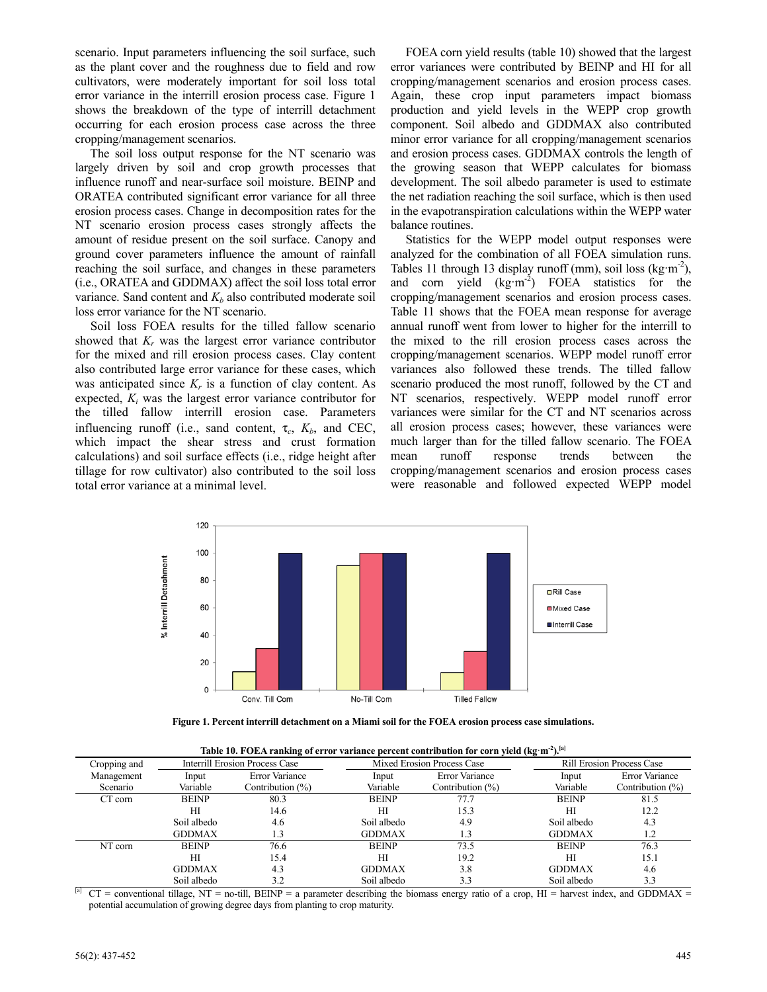scenario. Input parameters influencing the soil surface, such as the plant cover and the roughness due to field and row cultivators, were moderately important for soil loss total error variance in the interrill erosion process case. Figure 1 shows the breakdown of the type of interrill detachment occurring for each erosion process case across the three cropping/management scenarios.

The soil loss output response for the NT scenario was largely driven by soil and crop growth processes that influence runoff and near-surface soil moisture. BEINP and ORATEA contributed significant error variance for all three erosion process cases. Change in decomposition rates for the NT scenario erosion process cases strongly affects the amount of residue present on the soil surface. Canopy and ground cover parameters influence the amount of rainfall reaching the soil surface, and changes in these parameters (i.e., ORATEA and GDDMAX) affect the soil loss total error variance. Sand content and  $K_b$  also contributed moderate soil loss error variance for the NT scenario.

Soil loss FOEA results for the tilled fallow scenario showed that  $K_r$  was the largest error variance contributor for the mixed and rill erosion process cases. Clay content also contributed large error variance for these cases, which was anticipated since  $K_r$  is a function of clay content. As expected, *Ki* was the largest error variance contributor for the tilled fallow interrill erosion case. Parameters influencing runoff (i.e., sand content,  $\tau_c$ ,  $K_b$ , and CEC, which impact the shear stress and crust formation calculations) and soil surface effects (i.e., ridge height after tillage for row cultivator) also contributed to the soil loss total error variance at a minimal level.

FOEA corn yield results (table 10) showed that the largest error variances were contributed by BEINP and HI for all cropping/management scenarios and erosion process cases. Again, these crop input parameters impact biomass production and yield levels in the WEPP crop growth component. Soil albedo and GDDMAX also contributed minor error variance for all cropping/management scenarios and erosion process cases. GDDMAX controls the length of the growing season that WEPP calculates for biomass development. The soil albedo parameter is used to estimate the net radiation reaching the soil surface, which is then used in the evapotranspiration calculations within the WEPP water balance routines.

Statistics for the WEPP model output responses were analyzed for the combination of all FOEA simulation runs. Tables 11 through 13 display runoff (mm), soil loss (kg·m<sup>-2</sup>), and corn yield  $(kg·m<sup>-2</sup>)$  FOEA statistics for the cropping/management scenarios and erosion process cases. Table 11 shows that the FOEA mean response for average annual runoff went from lower to higher for the interrill to the mixed to the rill erosion process cases across the cropping/management scenarios. WEPP model runoff error variances also followed these trends. The tilled fallow scenario produced the most runoff, followed by the CT and NT scenarios, respectively. WEPP model runoff error variances were similar for the CT and NT scenarios across all erosion process cases; however, these variances were much larger than for the tilled fallow scenario. The FOEA mean runoff response trends between the cropping/management scenarios and erosion process cases were reasonable and followed expected WEPP model



**Figure 1. Percent interrill detachment on a Miami soil for the FOEA erosion process case simulations.** 

|              |               | Table 10. FOEA ranking of error variance percent contribution for corn yield (kg·m <sup>-2</sup> ). <sup>[a]</sup> |               |                            |               |                                  |
|--------------|---------------|--------------------------------------------------------------------------------------------------------------------|---------------|----------------------------|---------------|----------------------------------|
| Cropping and |               | <b>Interrill Erosion Process Case</b>                                                                              |               | Mixed Erosion Process Case |               | <b>Rill Erosion Process Case</b> |
| Management   | Input         | <b>Error Variance</b>                                                                                              | Input         | <b>Error Variance</b>      | Input         | <b>Error Variance</b>            |
| Scenario     | Variable      | Contribution $(\%)$                                                                                                | Variable      | Contribution $(\%)$        | Variable      | Contribution $(\%)$              |
| CT corn      | <b>BEINP</b>  | 80.3                                                                                                               | <b>BEINP</b>  | 77.7                       | <b>BEINP</b>  | 81.5                             |
|              | HI            | 14.6                                                                                                               | НI            | 15.3                       | HІ            | 12.2                             |
|              | Soil albedo   | 4.6                                                                                                                | Soil albedo   | 4.9                        | Soil albedo   | 4.3                              |
|              | <b>GDDMAX</b> | 1.3                                                                                                                | <b>GDDMAX</b> |                            | <b>GDDMAX</b> | 1.2                              |
| NT corn      | <b>BEINP</b>  | 76.6                                                                                                               | <b>BEINP</b>  | 73.5                       | <b>BEINP</b>  | 76.3                             |
|              | HI            | 15.4                                                                                                               | HІ            | 19.2                       | HI            | 15.1                             |
|              | <b>GDDMAX</b> | 4.3                                                                                                                | <b>GDDMAX</b> | 3.8                        | <b>GDDMAX</b> | 4.6                              |
|              | Soil albedo   | 3.2                                                                                                                | Soil albedo   | 3.3                        | Soil albedo   | 3.3                              |

 $CT$  = conventional tillage, NT = no-till, BEINP = a parameter describing the biomass energy ratio of a crop, HI = harvest index, and GDDMAX = potential accumulation of growing degree days from planting to crop maturity.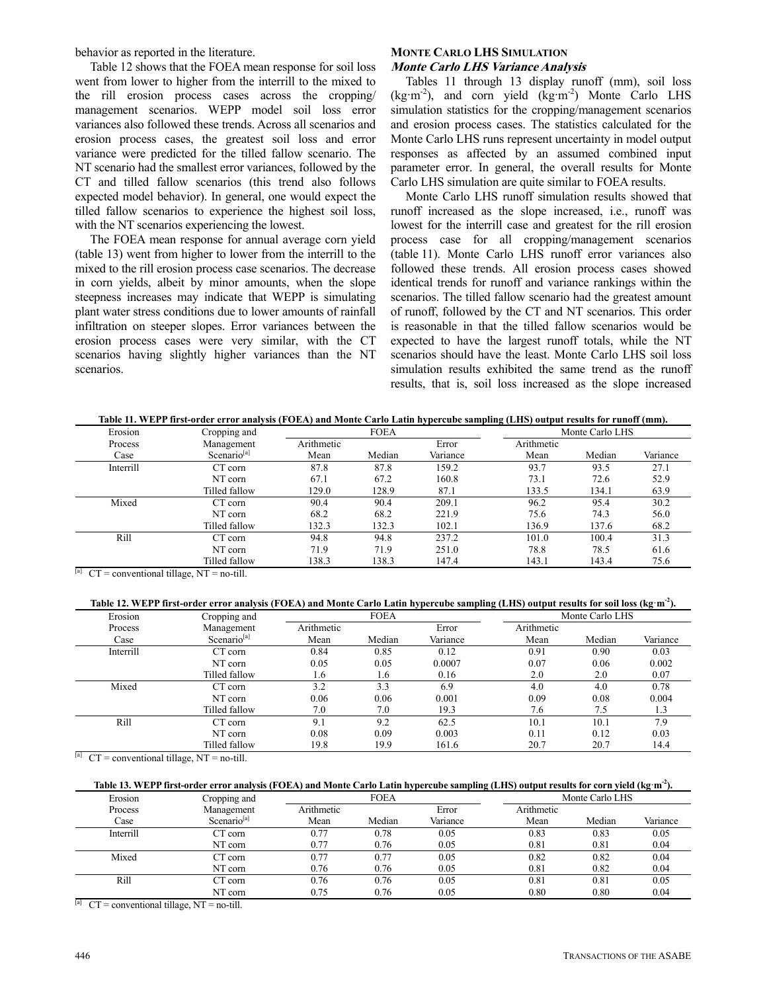behavior as reported in the literature.

Table 12 shows that the FOEA mean response for soil loss went from lower to higher from the interrill to the mixed to the rill erosion process cases across the cropping/ management scenarios. WEPP model soil loss error variances also followed these trends. Across all scenarios and erosion process cases, the greatest soil loss and error variance were predicted for the tilled fallow scenario. The NT scenario had the smallest error variances, followed by the CT and tilled fallow scenarios (this trend also follows expected model behavior). In general, one would expect the tilled fallow scenarios to experience the highest soil loss, with the NT scenarios experiencing the lowest.

The FOEA mean response for annual average corn yield (table 13) went from higher to lower from the interrill to the mixed to the rill erosion process case scenarios. The decrease in corn yields, albeit by minor amounts, when the slope steepness increases may indicate that WEPP is simulating plant water stress conditions due to lower amounts of rainfall infiltration on steeper slopes. Error variances between the erosion process cases were very similar, with the CT scenarios having slightly higher variances than the NT scenarios.

#### **MONTE CARLO LHS SIMULATION Monte Carlo LHS Variance Analysis**

Tables 11 through 13 display runoff (mm), soil loss  $(kg·m<sup>-2</sup>)$ , and corn yield  $(kg·m<sup>-2</sup>)$  Monte Carlo LHS simulation statistics for the cropping/management scenarios and erosion process cases. The statistics calculated for the Monte Carlo LHS runs represent uncertainty in model output responses as affected by an assumed combined input parameter error. In general, the overall results for Monte Carlo LHS simulation are quite similar to FOEA results.

Monte Carlo LHS runoff simulation results showed that runoff increased as the slope increased, i.e., runoff was lowest for the interrill case and greatest for the rill erosion process case for all cropping/management scenarios (table 11). Monte Carlo LHS runoff error variances also followed these trends. All erosion process cases showed identical trends for runoff and variance rankings within the scenarios. The tilled fallow scenario had the greatest amount of runoff, followed by the CT and NT scenarios. This order is reasonable in that the tilled fallow scenarios would be expected to have the largest runoff totals, while the NT scenarios should have the least. Monte Carlo LHS soil loss simulation results exhibited the same trend as the runoff results, that is, soil loss increased as the slope increased

|--|

| Erosion   | Cropping and            | <b>FOEA</b> |        | Monte Carlo LHS |            |        |          |
|-----------|-------------------------|-------------|--------|-----------------|------------|--------|----------|
| Process   | Management              | Arithmetic  |        | Error           | Arithmetic |        |          |
| Case      | Scenario <sup>[a]</sup> | Mean        | Median | Variance        | Mean       | Median | Variance |
| Interrill | CT corn                 | 87.8        | 87.8   | 159.2           | 93.7       | 93.5   | 27.1     |
|           | NT corn                 | 67.1        | 67.2   | 160.8           | 73.1       | 72.6   | 52.9     |
|           | Tilled fallow           | 129.0       | 128.9  | 87.1            | 133.5      | 134.1  | 63.9     |
| Mixed     | CT corn                 | 90.4        | 90.4   | 209.1           | 96.2       | 95.4   | 30.2     |
|           | NT corn                 | 68.2        | 68.2   | 221.9           | 75.6       | 74.3   | 56.0     |
|           | Tilled fallow           | 132.3       | 132.3  | 102.1           | 136.9      | 137.6  | 68.2     |
| Rill      | CT corn                 | 94.8        | 94.8   | 237.2           | 101.0      | 100.4  | 31.3     |
|           | NT corn                 | 71.9        | 71.9   | 251.0           | 78.8       | 78.5   | 61.6     |
|           | Tilled fallow           | 138.3       | 138.3  | 147.4           | 143.1      | 143.4  | 75.6     |

 $[T<sup>[a]</sup> CT = conventional tillage, NT = no-till.$ 

| Table 12. WEPP first-order error analysis (FOEA) and Monte Carlo Latin hypercube sampling (LHS) output results for soil loss (kg·m <sup>-2</sup> ). |                         |             |        |          |                 |        |          |
|-----------------------------------------------------------------------------------------------------------------------------------------------------|-------------------------|-------------|--------|----------|-----------------|--------|----------|
| Erosion                                                                                                                                             | Cropping and            | <b>FOEA</b> |        |          | Monte Carlo LHS |        |          |
| Process                                                                                                                                             | Management              | Arithmetic  |        | Error    | Arithmetic      |        |          |
| Case                                                                                                                                                | Scenario <sup>[a]</sup> | Mean        | Median | Variance | Mean            | Median | Variance |
| Interrill                                                                                                                                           | CT corn                 | 0.84        | 0.85   | 0.12     | 0.91            | 0.90   | 0.03     |
|                                                                                                                                                     | NT corn                 | 0.05        | 0.05   | 0.0007   | 0.07            | 0.06   | 0.002    |
|                                                                                                                                                     | Tilled fallow           | 1.6         | 1.6    | 0.16     | 2.0             | 2.0    | 0.07     |
| Mixed                                                                                                                                               | CT corn                 | 3.2         | 3.3    | 6.9      | 4.0             | 4.0    | 0.78     |
|                                                                                                                                                     | NT corn                 | 0.06        | 0.06   | 0.001    | 0.09            | 0.08   | 0.004    |
|                                                                                                                                                     | Tilled fallow           | 7.0         | 7.0    | 19.3     | 7.6             | 7.5    | 1.3      |
| Rill                                                                                                                                                | CT corn                 | 9.1         | 9.2    | 62.5     | 10.1            | 10.1   | 7.9      |
|                                                                                                                                                     | NT corn                 | 0.08        | 0.09   | 0.003    | 0.11            | 0.12   | 0.03     |
|                                                                                                                                                     | Tilled fallow           | 19.8        | 19.9   | 161.6    | 20.7            | 20.7   | 14.4     |

 $[T<sup>[a]</sup>  $CT =$  conventional tillage, NT = no-till.$ 

| Table 13. WEPP first-order error analysis (FOEA) and Monte Carlo Latin hypercube sampling (LHS) output results for corn yield (kg·m <sup>-2</sup> ). |
|------------------------------------------------------------------------------------------------------------------------------------------------------|
|------------------------------------------------------------------------------------------------------------------------------------------------------|

| Erosion   | Cropping and            |            | <b>FOEA</b> |          |            | Monte Carlo LHS |          |
|-----------|-------------------------|------------|-------------|----------|------------|-----------------|----------|
| Process   | Management              | Arithmetic |             | Error    | Arithmetic |                 |          |
| Case      | Scenario <sup>[a]</sup> | Mean       | Median      | Variance | Mean       | Median          | Variance |
| Interrill | CT corn                 | 0.77       | 0.78        | 0.05     | 0.83       | 0.83            | 0.05     |
|           | NT corn                 | 0.77       | 0.76        | 0.05     | 0.81       | 0.81            | 0.04     |
| Mixed     | CT corn                 | 0.77       | 0.77        | 0.05     | 0.82       | 0.82            | 0.04     |
|           | NT corn                 | 0.76       | 0.76        | 0.05     | 0.81       | 0.82            | 0.04     |
| Rill      | CT corn                 | 0.76       | 0.76        | 0.05     | 0.81       | 0.81            | 0.05     |
|           | NT corn                 | 0.75       | 0.76        | 0.05     | 0.80       | 0.80            | 0.04     |

 $\overline{a}$  CT = conventional tillage, NT = no-till.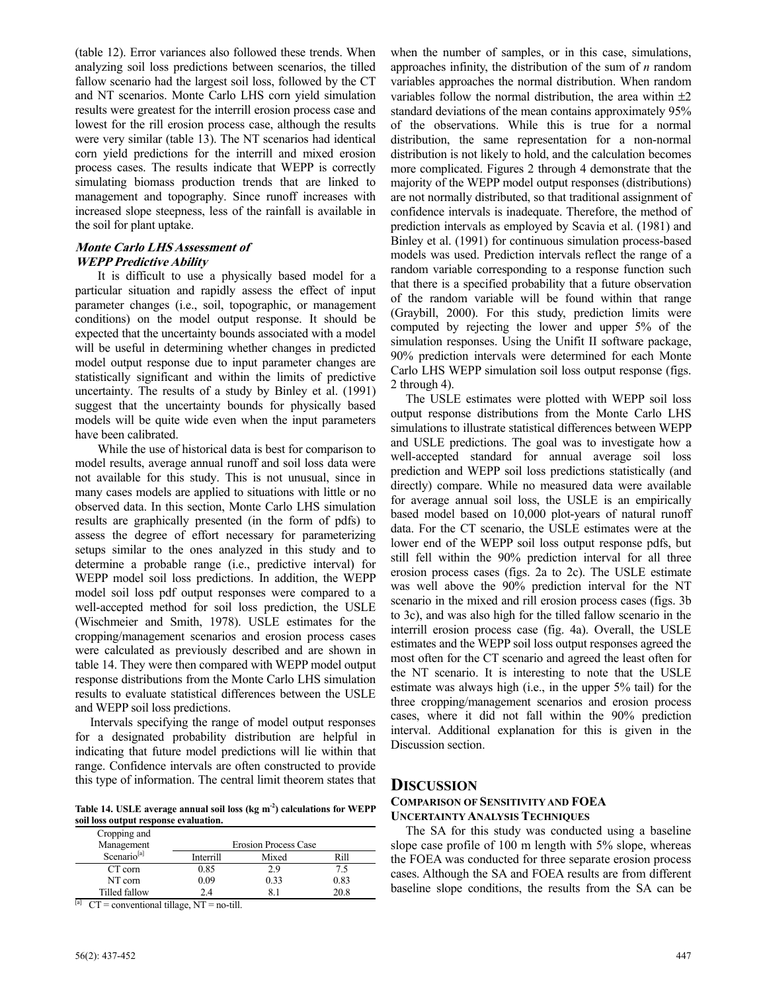(table 12). Error variances also followed these trends. When analyzing soil loss predictions between scenarios, the tilled fallow scenario had the largest soil loss, followed by the CT and NT scenarios. Monte Carlo LHS corn yield simulation results were greatest for the interrill erosion process case and lowest for the rill erosion process case, although the results were very similar (table 13). The NT scenarios had identical corn yield predictions for the interrill and mixed erosion process cases. The results indicate that WEPP is correctly simulating biomass production trends that are linked to management and topography. Since runoff increases with increased slope steepness, less of the rainfall is available in the soil for plant uptake.

# **Monte Carlo LHS Assessment of WEPP Predictive Ability**

It is difficult to use a physically based model for a particular situation and rapidly assess the effect of input parameter changes (i.e., soil, topographic, or management conditions) on the model output response. It should be expected that the uncertainty bounds associated with a model will be useful in determining whether changes in predicted model output response due to input parameter changes are statistically significant and within the limits of predictive uncertainty. The results of a study by Binley et al. (1991) suggest that the uncertainty bounds for physically based models will be quite wide even when the input parameters have been calibrated.

While the use of historical data is best for comparison to model results, average annual runoff and soil loss data were not available for this study. This is not unusual, since in many cases models are applied to situations with little or no observed data. In this section, Monte Carlo LHS simulation results are graphically presented (in the form of pdfs) to assess the degree of effort necessary for parameterizing setups similar to the ones analyzed in this study and to determine a probable range (i.e., predictive interval) for WEPP model soil loss predictions. In addition, the WEPP model soil loss pdf output responses were compared to a well-accepted method for soil loss prediction, the USLE (Wischmeier and Smith, 1978). USLE estimates for the cropping/management scenarios and erosion process cases were calculated as previously described and are shown in table 14. They were then compared with WEPP model output response distributions from the Monte Carlo LHS simulation results to evaluate statistical differences between the USLE and WEPP soil loss predictions.

Intervals specifying the range of model output responses for a designated probability distribution are helpful in indicating that future model predictions will lie within that range. Confidence intervals are often constructed to provide this type of information. The central limit theorem states that

**Table 14. USLE average annual soil loss (kg m-2) calculations for WEPP soil loss output response evaluation.** 

| Cropping and<br>Management | <b>Erosion Process Case</b> |       |      |  |  |
|----------------------------|-----------------------------|-------|------|--|--|
| Scenario <sup>[a]</sup>    | Interrill                   | Mixed | Rill |  |  |
| CT corn                    | 0.85                        | 2.9   | 75   |  |  |
| NT corn                    | 0.09                        | 0.33  | 0.83 |  |  |
| Tilled fallow              | 24                          |       | 20.8 |  |  |

<sup>[a]</sup> CT = conventional tillage, NT = no-till.

when the number of samples, or in this case, simulations, approaches infinity, the distribution of the sum of *n* random variables approaches the normal distribution. When random variables follow the normal distribution, the area within  $\pm 2$ standard deviations of the mean contains approximately 95% of the observations. While this is true for a normal distribution, the same representation for a non-normal distribution is not likely to hold, and the calculation becomes more complicated. Figures 2 through 4 demonstrate that the majority of the WEPP model output responses (distributions) are not normally distributed, so that traditional assignment of confidence intervals is inadequate. Therefore, the method of prediction intervals as employed by Scavia et al. (1981) and Binley et al. (1991) for continuous simulation process-based models was used. Prediction intervals reflect the range of a random variable corresponding to a response function such that there is a specified probability that a future observation of the random variable will be found within that range (Graybill, 2000). For this study, prediction limits were computed by rejecting the lower and upper 5% of the simulation responses. Using the Unifit II software package, 90% prediction intervals were determined for each Monte Carlo LHS WEPP simulation soil loss output response (figs. 2 through 4).

The USLE estimates were plotted with WEPP soil loss output response distributions from the Monte Carlo LHS simulations to illustrate statistical differences between WEPP and USLE predictions. The goal was to investigate how a well-accepted standard for annual average soil loss prediction and WEPP soil loss predictions statistically (and directly) compare. While no measured data were available for average annual soil loss, the USLE is an empirically based model based on 10,000 plot-years of natural runoff data. For the CT scenario, the USLE estimates were at the lower end of the WEPP soil loss output response pdfs, but still fell within the 90% prediction interval for all three erosion process cases (figs. 2a to 2c). The USLE estimate was well above the 90% prediction interval for the NT scenario in the mixed and rill erosion process cases (figs. 3b to 3c), and was also high for the tilled fallow scenario in the interrill erosion process case (fig. 4a). Overall, the USLE estimates and the WEPP soil loss output responses agreed the most often for the CT scenario and agreed the least often for the NT scenario. It is interesting to note that the USLE estimate was always high (i.e., in the upper 5% tail) for the three cropping/management scenarios and erosion process cases, where it did not fall within the 90% prediction interval. Additional explanation for this is given in the Discussion section.

# **DISCUSSION**

# **COMPARISON OF SENSITIVITY AND FOEA UNCERTAINTY ANALYSIS TECHNIQUES**

The SA for this study was conducted using a baseline slope case profile of 100 m length with 5% slope, whereas the FOEA was conducted for three separate erosion process cases. Although the SA and FOEA results are from different baseline slope conditions, the results from the SA can be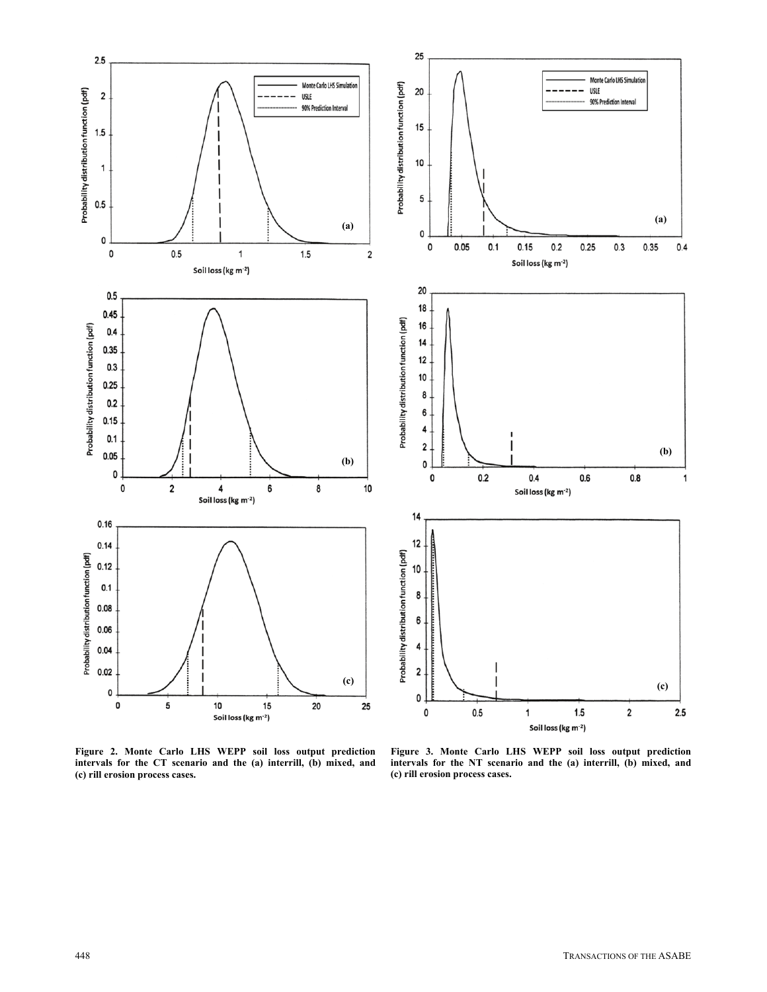

**Figure 2. Monte Carlo LHS WEPP soil loss output prediction intervals for the CT scenario and the (a) interrill, (b) mixed, and (c) rill erosion process cases.** 

**Figure 3. Monte Carlo LHS WEPP soil loss output prediction intervals for the NT scenario and the (a) interrill, (b) mixed, and (c) rill erosion process cases.**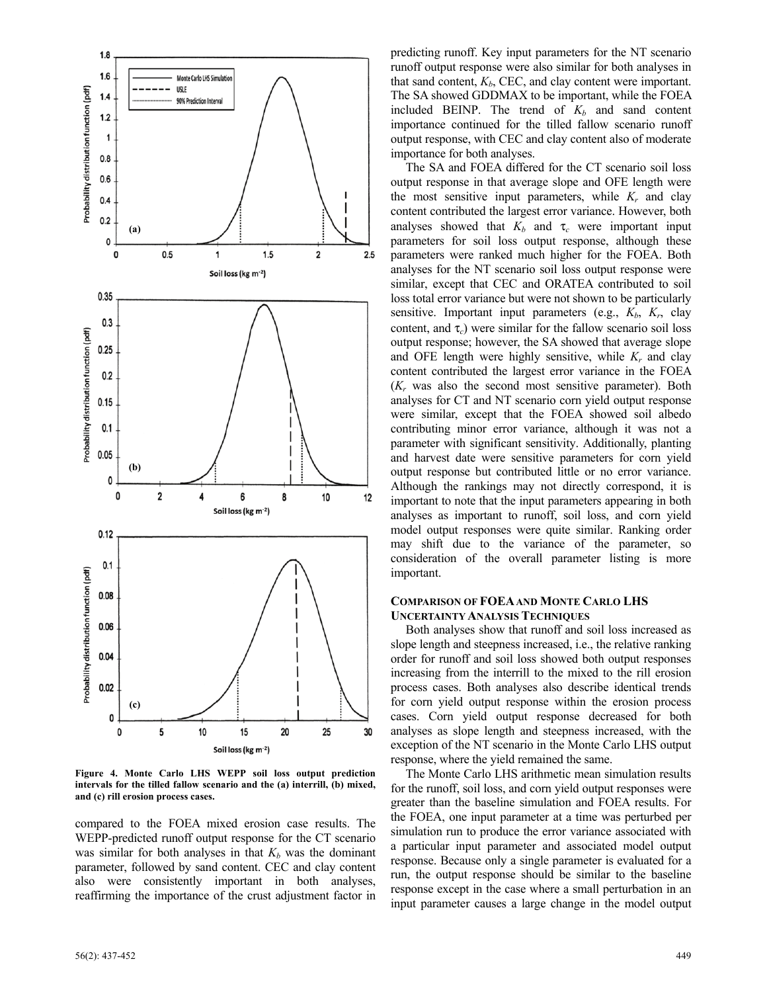

**Figure 4. Monte Carlo LHS WEPP soil loss output prediction intervals for the tilled fallow scenario and the (a) interrill, (b) mixed, and (c) rill erosion process cases.** 

compared to the FOEA mixed erosion case results. The WEPP-predicted runoff output response for the CT scenario was similar for both analyses in that  $K_b$  was the dominant parameter, followed by sand content. CEC and clay content also were consistently important in both analyses, reaffirming the importance of the crust adjustment factor in

predicting runoff. Key input parameters for the NT scenario runoff output response were also similar for both analyses in that sand content,  $K_b$ , CEC, and clay content were important. The SA showed GDDMAX to be important, while the FOEA included BEINP. The trend of  $K_b$  and sand content importance continued for the tilled fallow scenario runoff output response, with CEC and clay content also of moderate importance for both analyses.

The SA and FOEA differed for the CT scenario soil loss output response in that average slope and OFE length were the most sensitive input parameters, while  $K_r$  and clay content contributed the largest error variance. However, both analyses showed that  $K_b$  and  $\tau_c$  were important input parameters for soil loss output response, although these parameters were ranked much higher for the FOEA. Both analyses for the NT scenario soil loss output response were similar, except that CEC and ORATEA contributed to soil loss total error variance but were not shown to be particularly sensitive. Important input parameters (e.g.,  $K_b$ ,  $K_r$ , clay content, and  $\tau_c$ ) were similar for the fallow scenario soil loss output response; however, the SA showed that average slope and OFE length were highly sensitive, while  $K_r$  and clay content contributed the largest error variance in the FOEA (*Kr* was also the second most sensitive parameter). Both analyses for CT and NT scenario corn yield output response were similar, except that the FOEA showed soil albedo contributing minor error variance, although it was not a parameter with significant sensitivity. Additionally, planting and harvest date were sensitive parameters for corn yield output response but contributed little or no error variance. Although the rankings may not directly correspond, it is important to note that the input parameters appearing in both analyses as important to runoff, soil loss, and corn yield model output responses were quite similar. Ranking order may shift due to the variance of the parameter, so consideration of the overall parameter listing is more important.

# **COMPARISON OF FOEA AND MONTE CARLO LHS UNCERTAINTY ANALYSIS TECHNIQUES**

Both analyses show that runoff and soil loss increased as slope length and steepness increased, i.e., the relative ranking order for runoff and soil loss showed both output responses increasing from the interrill to the mixed to the rill erosion process cases. Both analyses also describe identical trends for corn yield output response within the erosion process cases. Corn yield output response decreased for both analyses as slope length and steepness increased, with the exception of the NT scenario in the Monte Carlo LHS output response, where the yield remained the same.

The Monte Carlo LHS arithmetic mean simulation results for the runoff, soil loss, and corn yield output responses were greater than the baseline simulation and FOEA results. For the FOEA, one input parameter at a time was perturbed per simulation run to produce the error variance associated with a particular input parameter and associated model output response. Because only a single parameter is evaluated for a run, the output response should be similar to the baseline response except in the case where a small perturbation in an input parameter causes a large change in the model output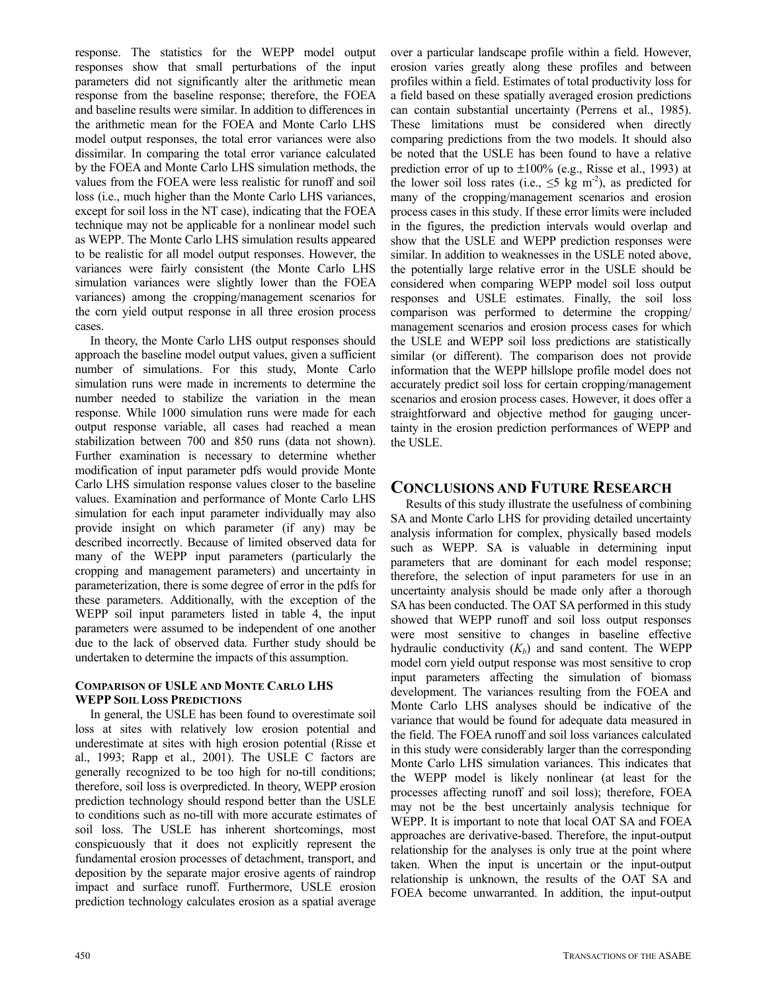response. The statistics for the WEPP model output responses show that small perturbations of the input parameters did not significantly alter the arithmetic mean response from the baseline response; therefore, the FOEA and baseline results were similar. In addition to differences in the arithmetic mean for the FOEA and Monte Carlo LHS model output responses, the total error variances were also dissimilar. In comparing the total error variance calculated by the FOEA and Monte Carlo LHS simulation methods, the values from the FOEA were less realistic for runoff and soil loss (i.e., much higher than the Monte Carlo LHS variances, except for soil loss in the NT case), indicating that the FOEA technique may not be applicable for a nonlinear model such as WEPP. The Monte Carlo LHS simulation results appeared to be realistic for all model output responses. However, the variances were fairly consistent (the Monte Carlo LHS simulation variances were slightly lower than the FOEA variances) among the cropping/management scenarios for the corn yield output response in all three erosion process cases.

In theory, the Monte Carlo LHS output responses should approach the baseline model output values, given a sufficient number of simulations. For this study, Monte Carlo simulation runs were made in increments to determine the number needed to stabilize the variation in the mean response. While 1000 simulation runs were made for each output response variable, all cases had reached a mean stabilization between 700 and 850 runs (data not shown). Further examination is necessary to determine whether modification of input parameter pdfs would provide Monte Carlo LHS simulation response values closer to the baseline values. Examination and performance of Monte Carlo LHS simulation for each input parameter individually may also provide insight on which parameter (if any) may be described incorrectly. Because of limited observed data for many of the WEPP input parameters (particularly the cropping and management parameters) and uncertainty in parameterization, there is some degree of error in the pdfs for these parameters. Additionally, with the exception of the WEPP soil input parameters listed in table 4, the input parameters were assumed to be independent of one another due to the lack of observed data. Further study should be undertaken to determine the impacts of this assumption.

# **COMPARISON OF USLE AND MONTE CARLO LHS WEPP SOIL LOSS PREDICTIONS**

In general, the USLE has been found to overestimate soil loss at sites with relatively low erosion potential and underestimate at sites with high erosion potential (Risse et al., 1993; Rapp et al., 2001). The USLE C factors are generally recognized to be too high for no-till conditions; therefore, soil loss is overpredicted. In theory, WEPP erosion prediction technology should respond better than the USLE to conditions such as no-till with more accurate estimates of soil loss. The USLE has inherent shortcomings, most conspicuously that it does not explicitly represent the fundamental erosion processes of detachment, transport, and deposition by the separate major erosive agents of raindrop impact and surface runoff. Furthermore, USLE erosion prediction technology calculates erosion as a spatial average over a particular landscape profile within a field. However, erosion varies greatly along these profiles and between profiles within a field. Estimates of total productivity loss for a field based on these spatially averaged erosion predictions can contain substantial uncertainty (Perrens et al., 1985). These limitations must be considered when directly comparing predictions from the two models. It should also be noted that the USLE has been found to have a relative prediction error of up to  $\pm 100\%$  (e.g., Risse et al., 1993) at the lower soil loss rates (i.e.,  $\leq$ 5 kg m<sup>-2</sup>), as predicted for many of the cropping/management scenarios and erosion process cases in this study. If these error limits were included in the figures, the prediction intervals would overlap and show that the USLE and WEPP prediction responses were similar. In addition to weaknesses in the USLE noted above, the potentially large relative error in the USLE should be considered when comparing WEPP model soil loss output responses and USLE estimates. Finally, the soil loss comparison was performed to determine the cropping/ management scenarios and erosion process cases for which the USLE and WEPP soil loss predictions are statistically similar (or different). The comparison does not provide information that the WEPP hillslope profile model does not accurately predict soil loss for certain cropping/management scenarios and erosion process cases. However, it does offer a straightforward and objective method for gauging uncertainty in the erosion prediction performances of WEPP and the USLE.

# **CONCLUSIONS AND FUTURE RESEARCH**

Results of this study illustrate the usefulness of combining SA and Monte Carlo LHS for providing detailed uncertainty analysis information for complex, physically based models such as WEPP. SA is valuable in determining input parameters that are dominant for each model response; therefore, the selection of input parameters for use in an uncertainty analysis should be made only after a thorough SA has been conducted. The OAT SA performed in this study showed that WEPP runoff and soil loss output responses were most sensitive to changes in baseline effective hydraulic conductivity  $(K_b)$  and sand content. The WEPP model corn yield output response was most sensitive to crop input parameters affecting the simulation of biomass development. The variances resulting from the FOEA and Monte Carlo LHS analyses should be indicative of the variance that would be found for adequate data measured in the field. The FOEA runoff and soil loss variances calculated in this study were considerably larger than the corresponding Monte Carlo LHS simulation variances. This indicates that the WEPP model is likely nonlinear (at least for the processes affecting runoff and soil loss); therefore, FOEA may not be the best uncertainly analysis technique for WEPP. It is important to note that local OAT SA and FOEA approaches are derivative-based. Therefore, the input-output relationship for the analyses is only true at the point where taken. When the input is uncertain or the input-output relationship is unknown, the results of the OAT SA and FOEA become unwarranted. In addition, the input-output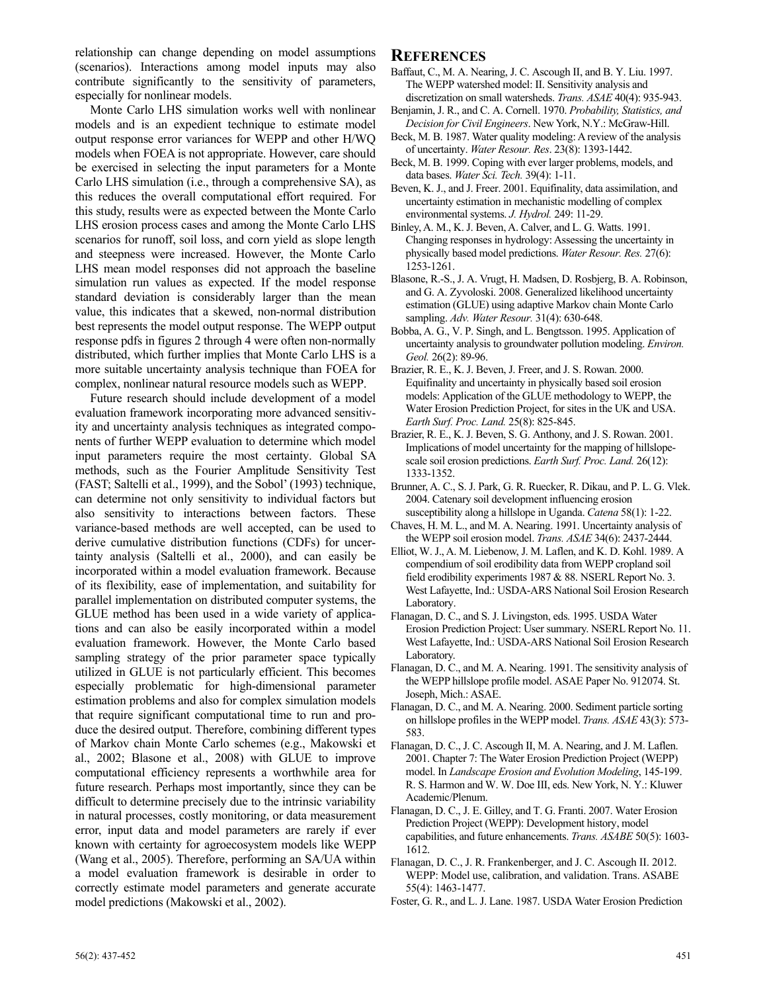relationship can change depending on model assumptions (scenarios). Interactions among model inputs may also contribute significantly to the sensitivity of parameters, especially for nonlinear models.

Monte Carlo LHS simulation works well with nonlinear models and is an expedient technique to estimate model output response error variances for WEPP and other H/WQ models when FOEA is not appropriate. However, care should be exercised in selecting the input parameters for a Monte Carlo LHS simulation (i.e., through a comprehensive SA), as this reduces the overall computational effort required. For this study, results were as expected between the Monte Carlo LHS erosion process cases and among the Monte Carlo LHS scenarios for runoff, soil loss, and corn yield as slope length and steepness were increased. However, the Monte Carlo LHS mean model responses did not approach the baseline simulation run values as expected. If the model response standard deviation is considerably larger than the mean value, this indicates that a skewed, non-normal distribution best represents the model output response. The WEPP output response pdfs in figures 2 through 4 were often non-normally distributed, which further implies that Monte Carlo LHS is a more suitable uncertainty analysis technique than FOEA for complex, nonlinear natural resource models such as WEPP.

Future research should include development of a model evaluation framework incorporating more advanced sensitivity and uncertainty analysis techniques as integrated components of further WEPP evaluation to determine which model input parameters require the most certainty. Global SA methods, such as the Fourier Amplitude Sensitivity Test (FAST; Saltelli et al., 1999), and the Sobol' (1993) technique, can determine not only sensitivity to individual factors but also sensitivity to interactions between factors. These variance-based methods are well accepted, can be used to derive cumulative distribution functions (CDFs) for uncertainty analysis (Saltelli et al., 2000), and can easily be incorporated within a model evaluation framework. Because of its flexibility, ease of implementation, and suitability for parallel implementation on distributed computer systems, the GLUE method has been used in a wide variety of applications and can also be easily incorporated within a model evaluation framework. However, the Monte Carlo based sampling strategy of the prior parameter space typically utilized in GLUE is not particularly efficient. This becomes especially problematic for high-dimensional parameter estimation problems and also for complex simulation models that require significant computational time to run and produce the desired output. Therefore, combining different types of Markov chain Monte Carlo schemes (e.g., Makowski et al., 2002; Blasone et al., 2008) with GLUE to improve computational efficiency represents a worthwhile area for future research. Perhaps most importantly, since they can be difficult to determine precisely due to the intrinsic variability in natural processes, costly monitoring, or data measurement error, input data and model parameters are rarely if ever known with certainty for agroecosystem models like WEPP (Wang et al., 2005). Therefore, performing an SA/UA within a model evaluation framework is desirable in order to correctly estimate model parameters and generate accurate model predictions (Makowski et al., 2002).

# **REFERENCES**

- Baffaut, C., M. A. Nearing, J. C. Ascough II, and B. Y. Liu. 1997. The WEPP watershed model: II. Sensitivity analysis and discretization on small watersheds. *Trans. ASAE* 40(4): 935-943.
- Benjamin, J. R., and C. A. Cornell. 1970. *Probability, Statistics, and Decision for Civil Engineers*. New York, N.Y.: McGraw-Hill.
- Beck, M. B. 1987. Water quality modeling: A review of the analysis of uncertainty. *Water Resour. Res*. 23(8): 1393-1442.
- Beck, M. B. 1999. Coping with ever larger problems, models, and data bases. *Water Sci. Tech.* 39(4): 1-11.
- Beven, K. J., and J. Freer. 2001. Equifinality, data assimilation, and uncertainty estimation in mechanistic modelling of complex environmental systems. *J. Hydrol.* 249: 11-29.
- Binley, A. M., K. J. Beven, A. Calver, and L. G. Watts. 1991. Changing responses in hydrology: Assessing the uncertainty in physically based model predictions. *Water Resour. Res.* 27(6): 1253-1261.
- Blasone, R.-S., J. A. Vrugt, H. Madsen, D. Rosbjerg, B. A. Robinson, and G. A. Zyvoloski. 2008. Generalized likelihood uncertainty estimation (GLUE) using adaptive Markov chain Monte Carlo sampling. *Adv. Water Resour.* 31(4): 630-648.
- Bobba, A. G., V. P. Singh, and L. Bengtsson. 1995. Application of uncertainty analysis to groundwater pollution modeling. *Environ. Geol.* 26(2): 89-96.
- Brazier, R. E., K. J. Beven, J. Freer, and J. S. Rowan. 2000. Equifinality and uncertainty in physically based soil erosion models: Application of the GLUE methodology to WEPP, the Water Erosion Prediction Project, for sites in the UK and USA. *Earth Surf. Proc. Land.* 25(8): 825-845.
- Brazier, R. E., K. J. Beven, S. G. Anthony, and J. S. Rowan. 2001. Implications of model uncertainty for the mapping of hillslopescale soil erosion predictions. *Earth Surf. Proc. Land.* 26(12): 1333-1352.
- Brunner, A. C., S. J. Park, G. R. Ruecker, R. Dikau, and P. L. G. Vlek. 2004. Catenary soil development influencing erosion susceptibility along a hillslope in Uganda. *Catena* 58(1): 1-22.
- Chaves, H. M. L., and M. A. Nearing. 1991. Uncertainty analysis of the WEPP soil erosion model. *Trans. ASAE* 34(6): 2437-2444.
- Elliot, W. J., A. M. Liebenow, J. M. Laflen, and K. D. Kohl. 1989. A compendium of soil erodibility data from WEPP cropland soil field erodibility experiments 1987 & 88. NSERL Report No. 3. West Lafayette, Ind.: USDA-ARS National Soil Erosion Research Laboratory.
- Flanagan, D. C., and S. J. Livingston, eds. 1995. USDA Water Erosion Prediction Project: User summary. NSERL Report No. 11. West Lafayette, Ind.: USDA-ARS National Soil Erosion Research Laboratory.
- Flanagan, D. C., and M. A. Nearing. 1991. The sensitivity analysis of the WEPP hillslope profile model. ASAE Paper No. 912074. St. Joseph, Mich.: ASAE.
- Flanagan, D. C., and M. A. Nearing. 2000. Sediment particle sorting on hillslope profiles in the WEPP model. *Trans. ASAE* 43(3): 573- 583.
- Flanagan, D. C., J. C. Ascough II, M. A. Nearing, and J. M. Laflen. 2001. Chapter 7: The Water Erosion Prediction Project (WEPP) model. In *Landscape Erosion and Evolution Modeling*, 145-199. R. S. Harmon and W. W. Doe III, eds. New York, N. Y.: Kluwer Academic/Plenum.
- Flanagan, D. C., J. E. Gilley, and T. G. Franti. 2007. Water Erosion Prediction Project (WEPP): Development history, model capabilities, and future enhancements. *Trans. ASABE* 50(5): 1603- 1612.
- Flanagan, D. C., J. R. Frankenberger, and J. C. Ascough II. 2012. WEPP: Model use, calibration, and validation. Trans. ASABE 55(4): 1463-1477.
- Foster, G. R., and L. J. Lane. 1987. USDA Water Erosion Prediction